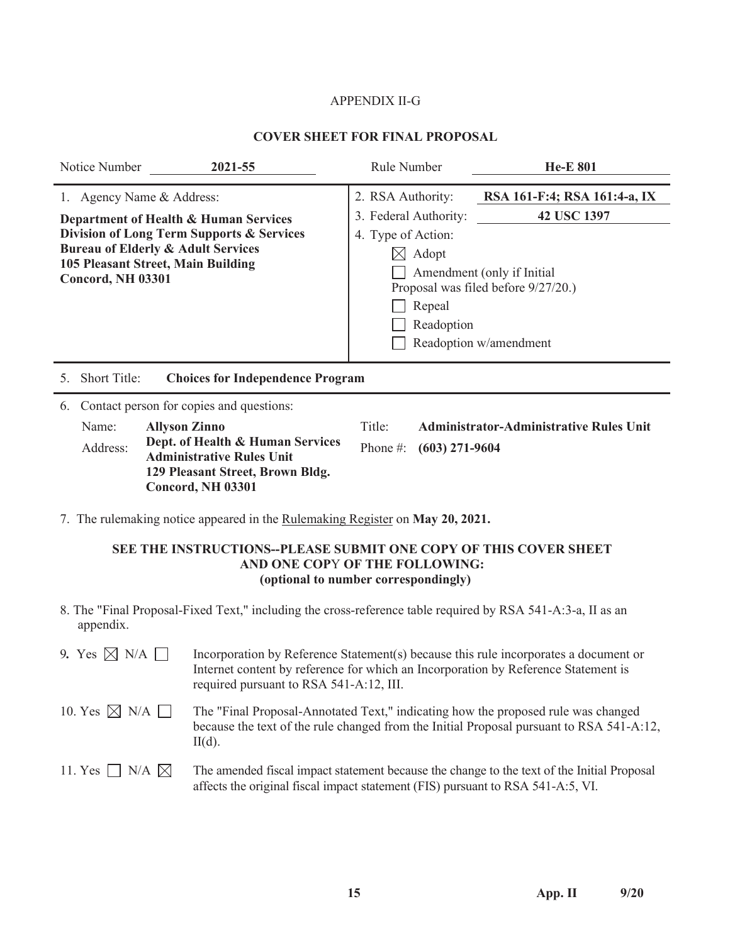## APPENDIX II-G

## **COVER SHEET FOR FINAL PROPOSAL**

| 2021-55<br>Notice Number                                                                                                                                                                                                     | Rule Number                                                                                                                                                                                                                                                 | <b>He-E 801</b>                                |  |
|------------------------------------------------------------------------------------------------------------------------------------------------------------------------------------------------------------------------------|-------------------------------------------------------------------------------------------------------------------------------------------------------------------------------------------------------------------------------------------------------------|------------------------------------------------|--|
| 1. Agency Name & Address:<br>Department of Health & Human Services<br>Division of Long Term Supports & Services<br><b>Bureau of Elderly &amp; Adult Services</b><br>105 Pleasant Street, Main Building<br>Concord, NH 03301  | 2. RSA Authority:<br>RSA 161-F:4; RSA 161:4-a, IX<br>42 USC 1397<br>3. Federal Authority:<br>4. Type of Action:<br>$\boxtimes$ Adopt<br>Amendment (only if Initial<br>Proposal was filed before 9/27/20.)<br>Repeal<br>Readoption<br>Readoption w/amendment |                                                |  |
| Short Title:<br><b>Choices for Independence Program</b><br>5.                                                                                                                                                                |                                                                                                                                                                                                                                                             |                                                |  |
| Contact person for copies and questions:<br>6.<br>Name:<br><b>Allyson Zinno</b><br>Dept. of Health & Human Services<br>Address:<br><b>Administrative Rules Unit</b><br>129 Pleasant Street, Brown Bldg.<br>Concord, NH 03301 | Title:<br>$(603)$ 271-9604<br>Phone $\#$ :                                                                                                                                                                                                                  | <b>Administrator-Administrative Rules Unit</b> |  |
| 7. The rulemaking notice appeared in the Rulemaking Register on May 20, 2021.<br>SEE THE INSTRUCTIONS--PLEASE SUBMIT ONE COPY OF THIS COVER SHEET                                                                            |                                                                                                                                                                                                                                                             |                                                |  |

## **SEE THE INSTRUCTIONS--PLEASE SUBMIT ONE COPY OF THIS COVER SHEET AND ONE COP**Y **OF THE FOLLOWING: (optional to number correspondingly)**

8. The "Final Proposal-Fixed Text," including the cross-reference table required by RSA 541-A:3-a, II as an appendix.

| 9. Yes $\boxtimes$ N/A $\Box$  | Incorporation by Reference Statement(s) because this rule incorporates a document or<br>Internet content by reference for which an Incorporation by Reference Statement is<br>required pursuant to RSA 541-A:12, III. |
|--------------------------------|-----------------------------------------------------------------------------------------------------------------------------------------------------------------------------------------------------------------------|
| 10. Yes $\boxtimes$ N/A $\Box$ | The "Final Proposal-Annotated Text," indicating how the proposed rule was changed<br>because the text of the rule changed from the Initial Proposal pursuant to RSA 541-A:12,<br>$II(d)$ .                            |
| 11. Yes $\Box$ N/A $\boxtimes$ | The amended fiscal impact statement because the change to the text of the Initial Proposal<br>affects the original fiscal impact statement (FIS) pursuant to RSA 541-A:5, VI.                                         |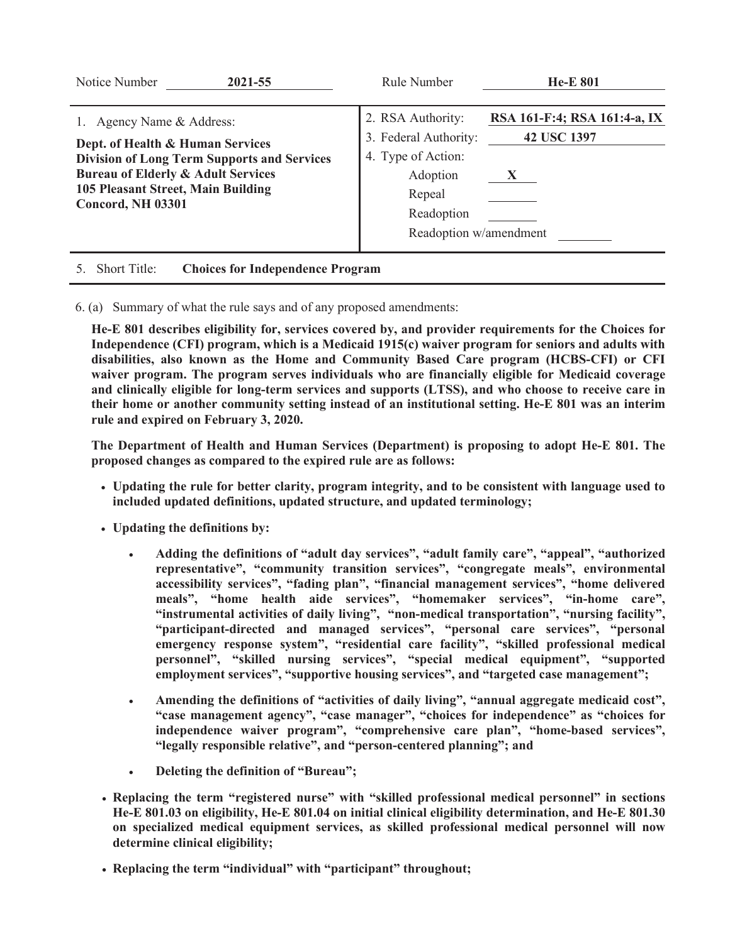| Notice Number<br>2021-55                                                                                                                                                                                                        | Rule Number                                                                                                                    | <b>He-E 801</b>                                             |
|---------------------------------------------------------------------------------------------------------------------------------------------------------------------------------------------------------------------------------|--------------------------------------------------------------------------------------------------------------------------------|-------------------------------------------------------------|
| 1. Agency Name & Address:<br>Dept. of Health & Human Services<br><b>Division of Long Term Supports and Services</b><br><b>Bureau of Elderly &amp; Adult Services</b><br>105 Pleasant Street, Main Building<br>Concord, NH 03301 | 2. RSA Authority:<br>3. Federal Authority:<br>4. Type of Action:<br>Adoption<br>Repeal<br>Readoption<br>Readoption w/amendment | RSA 161-F:4; RSA 161:4-a, IX<br>42 USC 1397<br>$\mathbf{X}$ |
| <b>Short Title:</b><br><b>Choices for Independence Program</b>                                                                                                                                                                  |                                                                                                                                |                                                             |

6. (a) Summary of what the rule says and of any proposed amendments:

**He-E 801 describes eligibility for, services covered by, and provider requirements for the Choices for Independence (CFI) program, which is a Medicaid 1915(c) waiver program for seniors and adults with disabilities, also known as the Home and Community Based Care program (HCBS-CFI) or CFI waiver program. The program serves individuals who are financially eligible for Medicaid coverage and clinically eligible for long-term services and supports (LTSS), and who choose to receive care in their home or another community setting instead of an institutional setting. He-E 801 was an interim rule and expired on February 3, 2020.**

**The Department of Health and Human Services (Department) is proposing to adopt He-E 801. The proposed changes as compared to the expired rule are as follows:**

- x **Updating the rule for better clarity, program integrity, and to be consistent with language used to included updated definitions, updated structure, and updated terminology;**
- x **Updating the definitions by:**
	- x **Adding the definitions of "adult day services", "adult family care", "appeal", "authorized representative", "community transition services", "congregate meals", environmental accessibility services", "fading plan", "financial management services", "home delivered meals", "home health aide services", "homemaker services", "in-home care", "instrumental activities of daily living", "non-medical transportation", "nursing facility", "participant-directed and managed services", "personal care services", "personal emergency response system", "residential care facility", "skilled professional medical personnel", "skilled nursing services", "special medical equipment", "supported employment services", "supportive housing services", and "targeted case management";**
	- x **Amending the definitions of "activities of daily living", "annual aggregate medicaid cost", "case management agency", "case manager", "choices for independence" as "choices for independence waiver program", "comprehensive care plan", "home-based services", "legally responsible relative", and "person-centered planning"; and**
	- x **Deleting the definition of "Bureau";**
- x **Replacing the term "registered nurse" with "skilled professional medical personnel" in sections He-E 801.03 on eligibility, He-E 801.04 on initial clinical eligibility determination, and He-E 801.30 on specialized medical equipment services, as skilled professional medical personnel will now determine clinical eligibility;**
- x **Replacing the term "individual" with "participant" throughout;**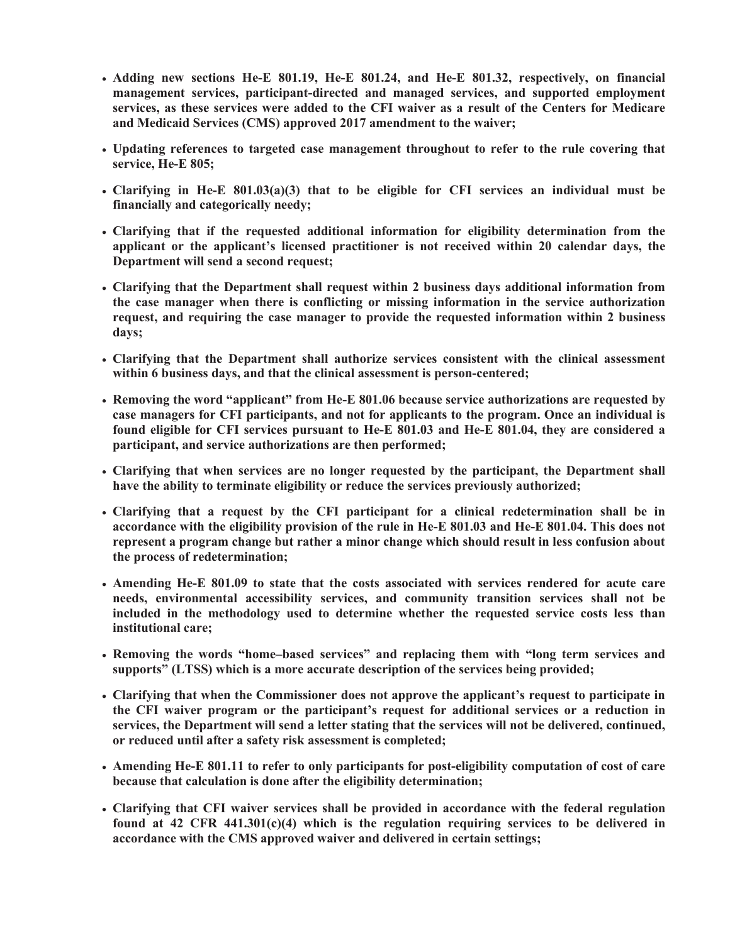- x **Adding new sections He-E 801.19, He-E 801.24, and He-E 801.32, respectively, on financial management services, participant-directed and managed services, and supported employment services, as these services were added to the CFI waiver as a result of the Centers for Medicare and Medicaid Services (CMS) approved 2017 amendment to the waiver;**
- x **Updating references to targeted case management throughout to refer to the rule covering that service, He-E 805;**
- x **Clarifying in He-E 801.03(a)(3) that to be eligible for CFI services an individual must be financially and categorically needy;**
- x **Clarifying that if the requested additional information for eligibility determination from the applicant or the applicant's licensed practitioner is not received within 20 calendar days, the Department will send a second request;**
- x **Clarifying that the Department shall request within 2 business days additional information from the case manager when there is conflicting or missing information in the service authorization request, and requiring the case manager to provide the requested information within 2 business days;**
- x **Clarifying that the Department shall authorize services consistent with the clinical assessment within 6 business days, and that the clinical assessment is person-centered;**
- x **Removing the word "applicant" from He-E 801.06 because service authorizations are requested by case managers for CFI participants, and not for applicants to the program. Once an individual is found eligible for CFI services pursuant to He-E 801.03 and He-E 801.04, they are considered a participant, and service authorizations are then performed;**
- x **Clarifying that when services are no longer requested by the participant, the Department shall have the ability to terminate eligibility or reduce the services previously authorized;**
- x **Clarifying that a request by the CFI participant for a clinical redetermination shall be in accordance with the eligibility provision of the rule in He-E 801.03 and He-E 801.04. This does not represent a program change but rather a minor change which should result in less confusion about the process of redetermination;**
- x **Amending He-E 801.09 to state that the costs associated with services rendered for acute care needs, environmental accessibility services, and community transition services shall not be included in the methodology used to determine whether the requested service costs less than institutional care;**
- x **Removing the words "home–based services" and replacing them with "long term services and supports" (LTSS) which is a more accurate description of the services being provided;**
- x **Clarifying that when the Commissioner does not approve the applicant's request to participate in the CFI waiver program or the participant's request for additional services or a reduction in services, the Department will send a letter stating that the services will not be delivered, continued, or reduced until after a safety risk assessment is completed;**
- x **Amending He-E 801.11 to refer to only participants for post-eligibility computation of cost of care because that calculation is done after the eligibility determination;**
- x **Clarifying that CFI waiver services shall be provided in accordance with the federal regulation found at 42 CFR 441.301(c)(4) which is the regulation requiring services to be delivered in accordance with the CMS approved waiver and delivered in certain settings;**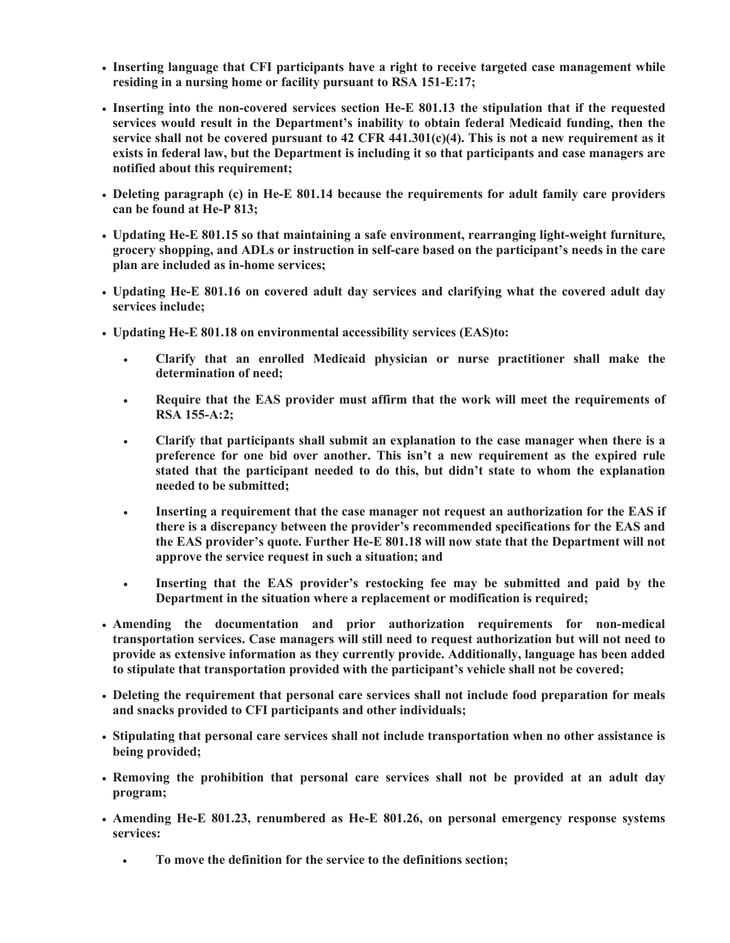- x **Inserting language that CFI participants have a right to receive targeted case management while residing in a nursing home or facility pursuant to RSA 151-E:17;**
- x **Inserting into the non-covered services section He-E 801.13 the stipulation that if the requested services would result in the Department's inability to obtain federal Medicaid funding, then the service shall not be covered pursuant to 42 CFR 441.301(c)(4). This is not a new requirement as it exists in federal law, but the Department is including it so that participants and case managers are notified about this requirement;**
- x **Deleting paragraph (c) in He-E 801.14 because the requirements for adult family care providers can be found at He-P 813;**
- x **Updating He-E 801.15 so that maintaining a safe environment, rearranging light-weight furniture, grocery shopping, and ADLs or instruction in self-care based on the participant's needs in the care plan are included as in-home services;**
- x **Updating He-E 801.16 on covered adult day services and clarifying what the covered adult day services include;**
- x **Updating He-E 801.18 on environmental accessibility services (EAS)to:**
	- x **Clarify that an enrolled Medicaid physician or nurse practitioner shall make the determination of need;**
	- x **Require that the EAS provider must affirm that the work will meet the requirements of RSA 155-A:2;**
	- x **Clarify that participants shall submit an explanation to the case manager when there is a preference for one bid over another. This isn't a new requirement as the expired rule stated that the participant needed to do this, but didn't state to whom the explanation needed to be submitted;**
	- **Example 3 Inserting a requirement that the case manager not request an authorization for the EAS if there is a discrepancy between the provider's recommended specifications for the EAS and the EAS provider's quote. Further He-E 801.18 will now state that the Department will not approve the service request in such a situation; and**
	- x **Inserting that the EAS provider's restocking fee may be submitted and paid by the Department in the situation where a replacement or modification is required;**
- x **Amending the documentation and prior authorization requirements for non-medical transportation services. Case managers will still need to request authorization but will not need to provide as extensive information as they currently provide. Additionally, language has been added to stipulate that transportation provided with the participant's vehicle shall not be covered;**
- x **Deleting the requirement that personal care services shall not include food preparation for meals and snacks provided to CFI participants and other individuals;**
- x **Stipulating that personal care services shall not include transportation when no other assistance is being provided;**
- x **Removing the prohibition that personal care services shall not be provided at an adult day program;**
- x **Amending He-E 801.23, renumbered as He-E 801.26, on personal emergency response systems services:** 
	- x **To move the definition for the service to the definitions section;**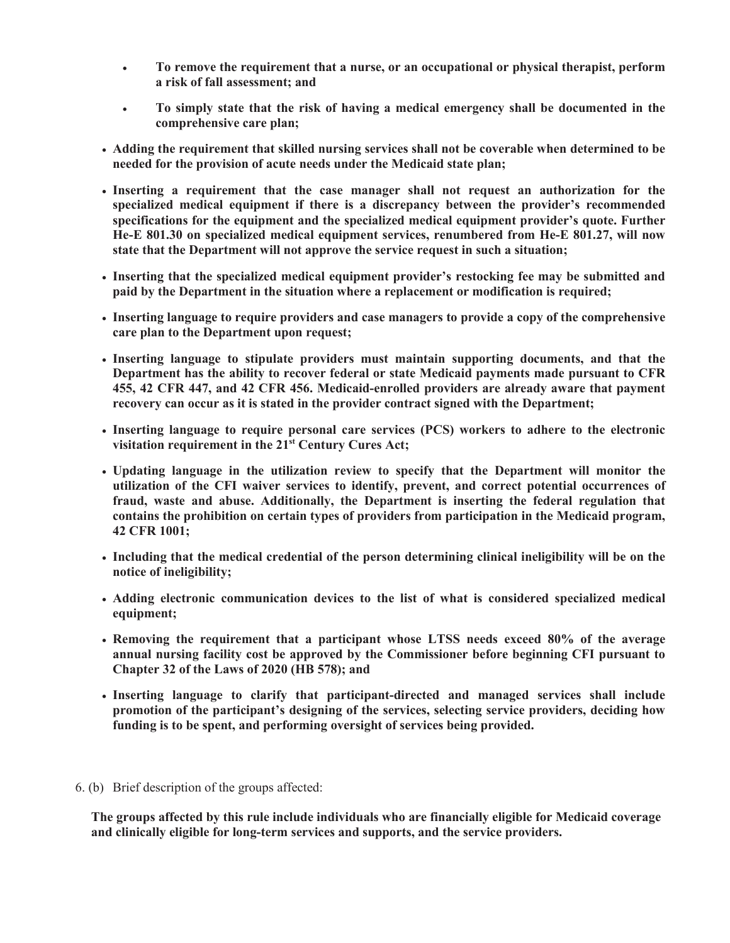- x **To remove the requirement that a nurse, or an occupational or physical therapist, perform a risk of fall assessment; and**
- x **To simply state that the risk of having a medical emergency shall be documented in the comprehensive care plan;**
- x **Adding the requirement that skilled nursing services shall not be coverable when determined to be needed for the provision of acute needs under the Medicaid state plan;**
- x **Inserting a requirement that the case manager shall not request an authorization for the specialized medical equipment if there is a discrepancy between the provider's recommended specifications for the equipment and the specialized medical equipment provider's quote. Further He-E 801.30 on specialized medical equipment services, renumbered from He-E 801.27, will now state that the Department will not approve the service request in such a situation;**
- x **Inserting that the specialized medical equipment provider's restocking fee may be submitted and paid by the Department in the situation where a replacement or modification is required;**
- x **Inserting language to require providers and case managers to provide a copy of the comprehensive care plan to the Department upon request;**
- x **Inserting language to stipulate providers must maintain supporting documents, and that the Department has the ability to recover federal or state Medicaid payments made pursuant to CFR 455, 42 CFR 447, and 42 CFR 456. Medicaid-enrolled providers are already aware that payment recovery can occur as it is stated in the provider contract signed with the Department;**
- x **Inserting language to require personal care services (PCS) workers to adhere to the electronic visitation requirement in the 21st Century Cures Act;**
- x **Updating language in the utilization review to specify that the Department will monitor the utilization of the CFI waiver services to identify, prevent, and correct potential occurrences of fraud, waste and abuse. Additionally, the Department is inserting the federal regulation that contains the prohibition on certain types of providers from participation in the Medicaid program, 42 CFR 1001;**
- x **Including that the medical credential of the person determining clinical ineligibility will be on the notice of ineligibility;**
- x **Adding electronic communication devices to the list of what is considered specialized medical equipment;**
- x **Removing the requirement that a participant whose LTSS needs exceed 80% of the average annual nursing facility cost be approved by the Commissioner before beginning CFI pursuant to Chapter 32 of the Laws of 2020 (HB 578); and**
- x **Inserting language to clarify that participant-directed and managed services shall include promotion of the participant's designing of the services, selecting service providers, deciding how funding is to be spent, and performing oversight of services being provided.**
- 6. (b) Brief description of the groups affected:

**The groups affected by this rule include individuals who are financially eligible for Medicaid coverage and clinically eligible for long-term services and supports, and the service providers.**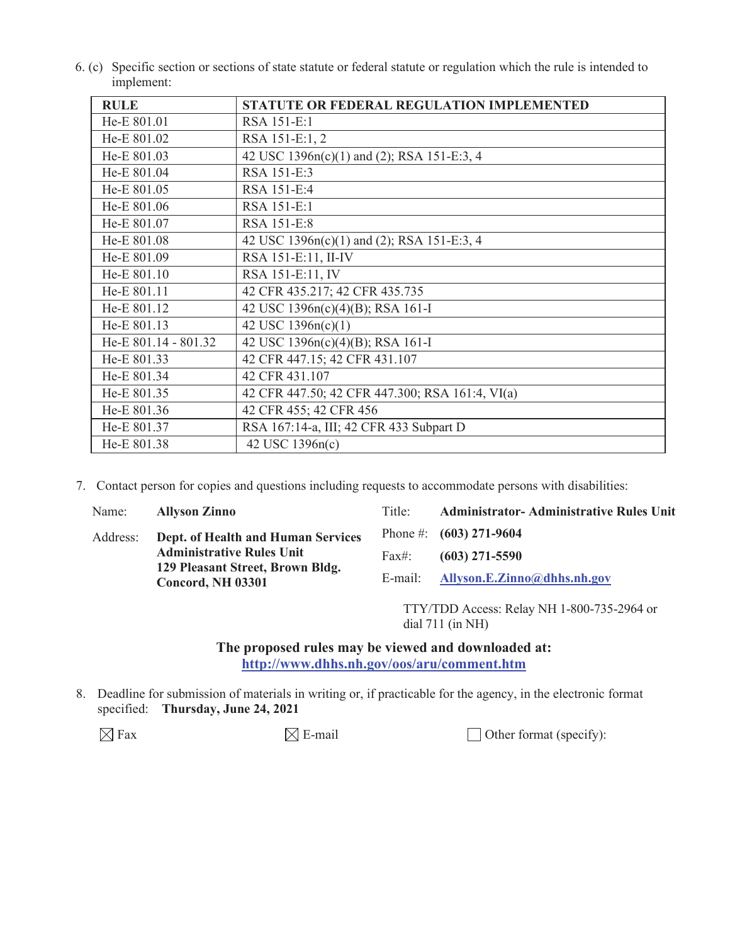6. (c) Specific section or sections of state statute or federal statute or regulation which the rule is intended to implement:

| <b>RULE</b>          | <b>STATUTE OR FEDERAL REGULATION IMPLEMENTED</b> |
|----------------------|--------------------------------------------------|
| He-E 801.01          | RSA 151-E:1                                      |
| He-E 801.02          | RSA 151-E:1, 2                                   |
| He-E 801.03          | 42 USC 1396n(c)(1) and (2); RSA 151-E:3, 4       |
| He-E 801.04          | RSA 151-E:3                                      |
| He-E 801.05          | RSA 151-E:4                                      |
| He-E 801.06          | RSA 151-E:1                                      |
| He-E 801.07          | RSA 151-E:8                                      |
| He-E 801.08          | 42 USC 1396n(c)(1) and (2); RSA 151-E:3, 4       |
| He-E 801.09          | RSA 151-E:11, II-IV                              |
| He-E 801.10          | RSA 151-E:11, IV                                 |
| He-E 801.11          | 42 CFR 435.217; 42 CFR 435.735                   |
| He-E 801.12          | 42 USC 1396n(c)(4)(B); RSA 161-I                 |
| He-E 801.13          | 42 USC 1396n(c)(1)                               |
| He-E 801.14 - 801.32 | 42 USC 1396n(c)(4)(B); RSA 161-I                 |
| He-E 801.33          | 42 CFR 447.15; 42 CFR 431.107                    |
| He-E 801.34          | 42 CFR 431.107                                   |
| He-E 801.35          | 42 CFR 447.50; 42 CFR 447.300; RSA 161:4, VI(a)  |
| He-E 801.36          | 42 CFR 455; 42 CFR 456                           |
| He-E 801.37          | RSA 167:14-a, III; 42 CFR 433 Subpart D          |
| He-E 801.38          | 42 USC 1396n(c)                                  |

7. Contact person for copies and questions including requests to accommodate persons with disabilities:

| Name:    | <b>Allyson Zinno</b>                                                 | Title:   | <b>Administrator-Administrative Rules Unit</b> |
|----------|----------------------------------------------------------------------|----------|------------------------------------------------|
| Address: | Dept. of Health and Human Services                                   |          | Phone #: $(603)$ 271-9604                      |
|          | <b>Administrative Rules Unit</b><br>129 Pleasant Street, Brown Bldg. | $Fax\#:$ | $(603)$ 271-5590                               |
|          | Concord, NH 03301                                                    | E-mail:  | Allyson.E.Zinno@dhhs.nh.gov                    |
|          |                                                                      |          |                                                |

TTY/TDD Access: Relay NH 1-800-735-2964 or dial 711 (in NH)

**The proposed rules may be viewed and downloaded at: http://www.dhhs.nh.gov/oos/aru/comment.htm**

8. Deadline for submission of materials in writing or, if practicable for the agency, in the electronic format specified: **Thursday, June 24, 2021**

 $\boxtimes$  Fax  $\boxtimes$  E-mail  $\Box$  Other format (specify):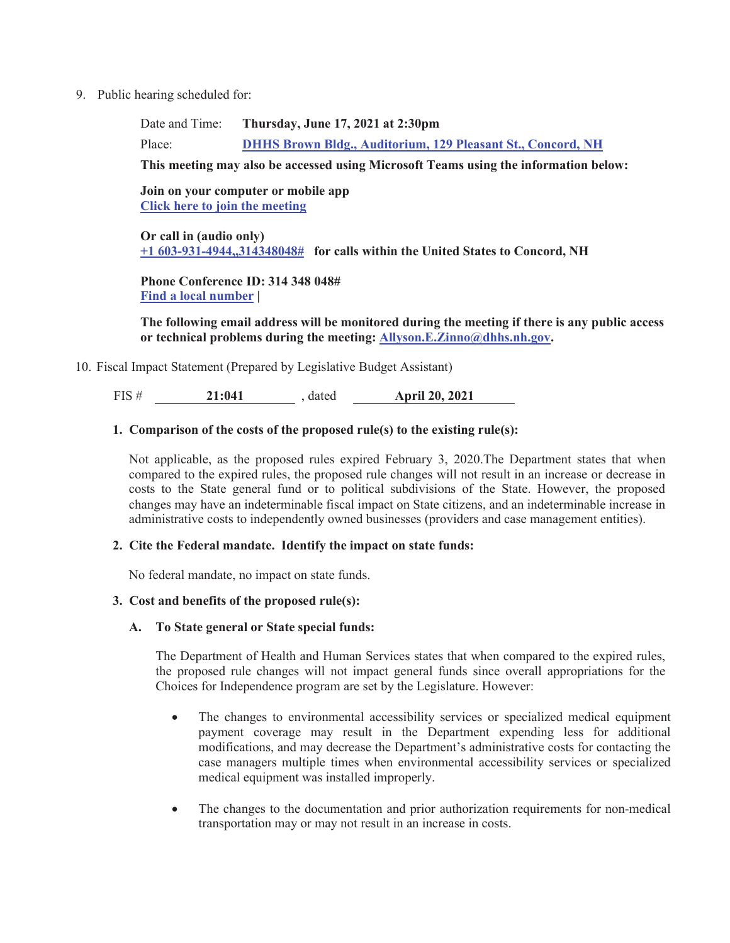9. Public hearing scheduled for:

Date and Time: **Thursday, June 17, 2021 at 2:30pm**

Place: **DHHS Brown Bldg., Auditorium, 129 Pleasant St., Concord, NH**

**This meeting may also be accessed using Microsoft Teams using the information below:**

### **Join on your computer or mobile app Click here to join the meeting**

**Or call in (audio only) +1 603-931-4944,,314348048# for calls within the United States to Concord, NH** 

**Phone Conference ID: 314 348 048# Find a local number |** 

**The following email address will be monitored during the meeting if there is any public access or technical problems during the meeting: Allyson.E.Zinno@dhhs.nh.gov.** 

10. Fiscal Impact Statement (Prepared by Legislative Budget Assistant)

FIS # **21:041** , dated **April 20, 2021** 

### **1. Comparison of the costs of the proposed rule(s) to the existing rule(s):**

Not applicable, as the proposed rules expired February 3, 2020.The Department states that when compared to the expired rules, the proposed rule changes will not result in an increase or decrease in costs to the State general fund or to political subdivisions of the State. However, the proposed changes may have an indeterminable fiscal impact on State citizens, and an indeterminable increase in administrative costs to independently owned businesses (providers and case management entities).

#### **2. Cite the Federal mandate. Identify the impact on state funds:**

No federal mandate, no impact on state funds.

#### **3. Cost and benefits of the proposed rule(s):**

#### **A. To State general or State special funds:**

The Department of Health and Human Services states that when compared to the expired rules, the proposed rule changes will not impact general funds since overall appropriations for the Choices for Independence program are set by the Legislature. However:

- The changes to environmental accessibility services or specialized medical equipment payment coverage may result in the Department expending less for additional modifications, and may decrease the Department's administrative costs for contacting the case managers multiple times when environmental accessibility services or specialized medical equipment was installed improperly.
- The changes to the documentation and prior authorization requirements for non-medical transportation may or may not result in an increase in costs.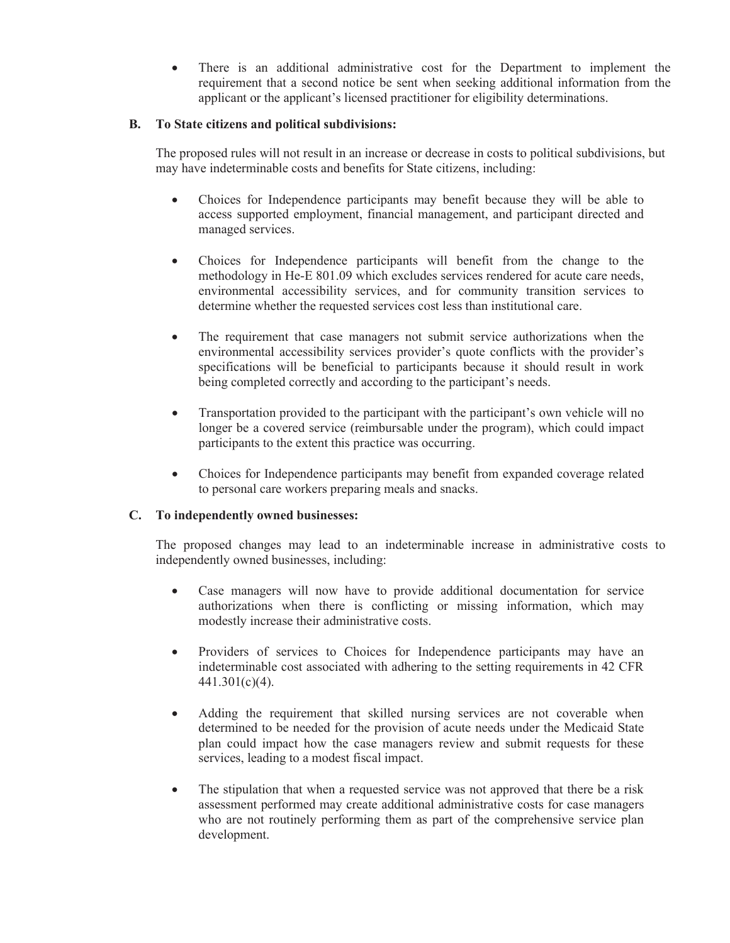There is an additional administrative cost for the Department to implement the requirement that a second notice be sent when seeking additional information from the applicant or the applicant's licensed practitioner for eligibility determinations.

## **B. To State citizens and political subdivisions:**

The proposed rules will not result in an increase or decrease in costs to political subdivisions, but may have indeterminable costs and benefits for State citizens, including:

- Choices for Independence participants may benefit because they will be able to access supported employment, financial management, and participant directed and managed services.
- Choices for Independence participants will benefit from the change to the methodology in He-E 801.09 which excludes services rendered for acute care needs, environmental accessibility services, and for community transition services to determine whether the requested services cost less than institutional care.
- The requirement that case managers not submit service authorizations when the environmental accessibility services provider's quote conflicts with the provider's specifications will be beneficial to participants because it should result in work being completed correctly and according to the participant's needs.
- Transportation provided to the participant with the participant's own vehicle will no longer be a covered service (reimbursable under the program), which could impact participants to the extent this practice was occurring.
- Choices for Independence participants may benefit from expanded coverage related to personal care workers preparing meals and snacks.

## **C. To independently owned businesses:**

The proposed changes may lead to an indeterminable increase in administrative costs to independently owned businesses, including:

- Case managers will now have to provide additional documentation for service authorizations when there is conflicting or missing information, which may modestly increase their administrative costs.
- x Providers of services to Choices for Independence participants may have an indeterminable cost associated with adhering to the setting requirements in 42 CFR 441.301(c)(4).
- x Adding the requirement that skilled nursing services are not coverable when determined to be needed for the provision of acute needs under the Medicaid State plan could impact how the case managers review and submit requests for these services, leading to a modest fiscal impact.
- The stipulation that when a requested service was not approved that there be a risk assessment performed may create additional administrative costs for case managers who are not routinely performing them as part of the comprehensive service plan development.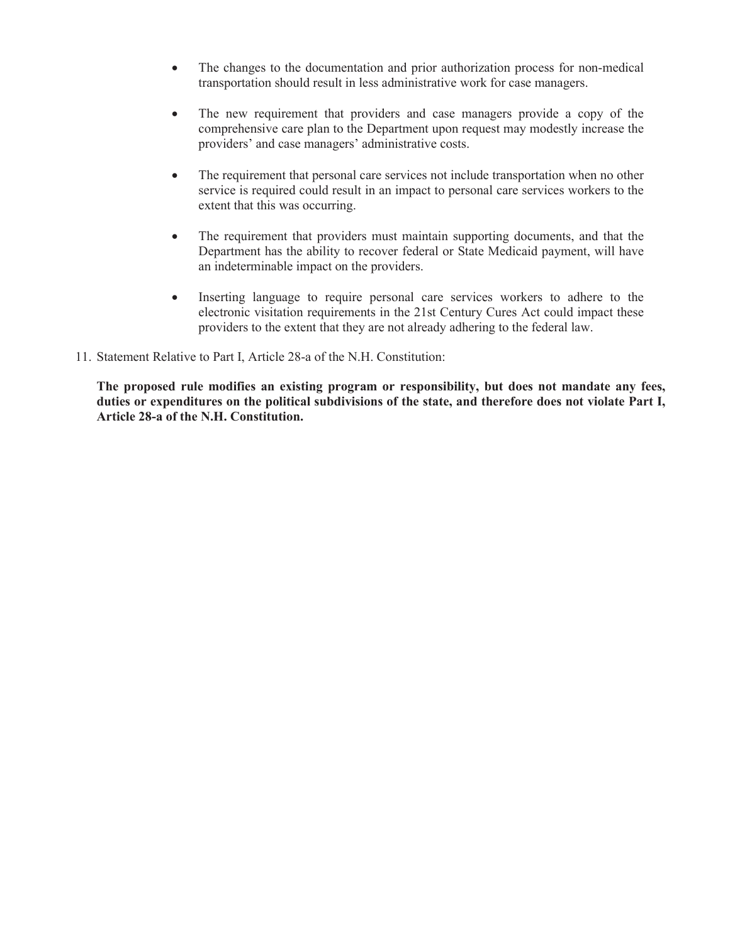- The changes to the documentation and prior authorization process for non-medical transportation should result in less administrative work for case managers.
- The new requirement that providers and case managers provide a copy of the comprehensive care plan to the Department upon request may modestly increase the providers' and case managers' administrative costs.
- The requirement that personal care services not include transportation when no other service is required could result in an impact to personal care services workers to the extent that this was occurring.
- The requirement that providers must maintain supporting documents, and that the Department has the ability to recover federal or State Medicaid payment, will have an indeterminable impact on the providers.
- Inserting language to require personal care services workers to adhere to the electronic visitation requirements in the 21st Century Cures Act could impact these providers to the extent that they are not already adhering to the federal law.
- 11. Statement Relative to Part I, Article 28-a of the N.H. Constitution:

**The proposed rule modifies an existing program or responsibility, but does not mandate any fees, duties or expenditures on the political subdivisions of the state, and therefore does not violate Part I, Article 28-a of the N.H. Constitution.**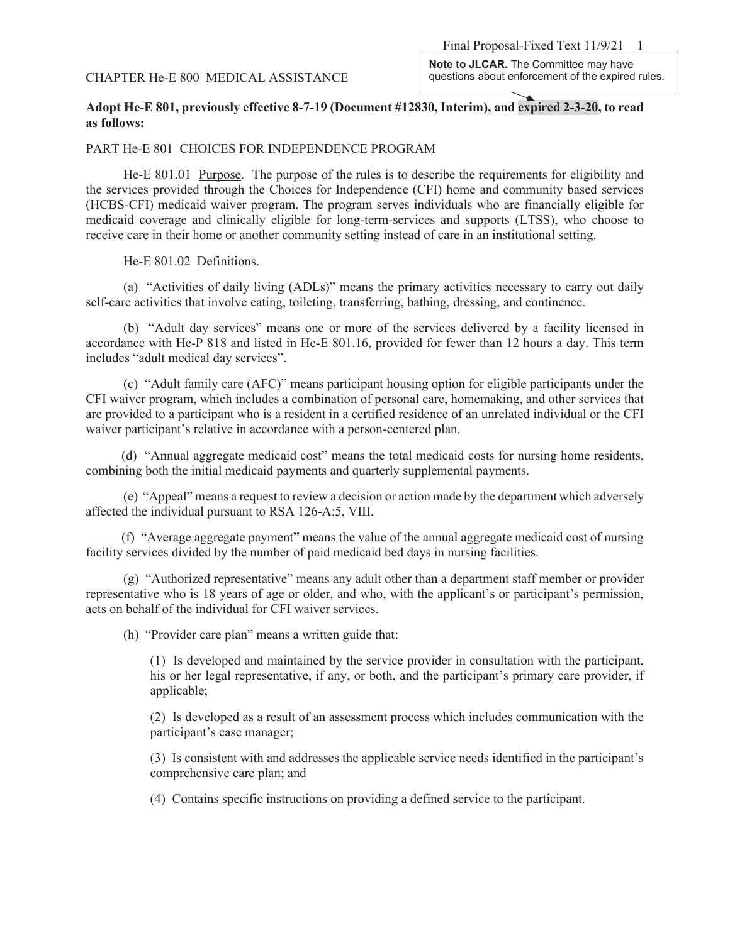## CHAPTER He-E 800 MEDICAL ASSISTANCE

**Note to JLCAR.** The Committee may have questions about enforcement of the expired rules.

## **Adopt He-E 801, previously effective 8-7-19 (Document #12830, Interim), and expired 2-3-20, to read as follows:**

#### PART He-E 801 CHOICES FOR INDEPENDENCE PROGRAM

He-E 801.01 Purpose. The purpose of the rules is to describe the requirements for eligibility and the services provided through the Choices for Independence (CFI) home and community based services (HCBS-CFI) medicaid waiver program. The program serves individuals who are financially eligible for medicaid coverage and clinically eligible for long-term-services and supports (LTSS), who choose to receive care in their home or another community setting instead of care in an institutional setting.

#### He-E 801.02 Definitions.

(a) "Activities of daily living (ADLs)" means the primary activities necessary to carry out daily self-care activities that involve eating, toileting, transferring, bathing, dressing, and continence.

(b) "Adult day services" means one or more of the services delivered by a facility licensed in accordance with He-P 818 and listed in He-E 801.16, provided for fewer than 12 hours a day. This term includes "adult medical day services".

(c) "Adult family care (AFC)" means participant housing option for eligible participants under the CFI waiver program, which includes a combination of personal care, homemaking, and other services that are provided to a participant who is a resident in a certified residence of an unrelated individual or the CFI waiver participant's relative in accordance with a person-centered plan.

(d) "Annual aggregate medicaid cost" means the total medicaid costs for nursing home residents, combining both the initial medicaid payments and quarterly supplemental payments.

(e) "Appeal" means a request to review a decision or action made by the department which adversely affected the individual pursuant to RSA 126-A:5, VIII.

(f) "Average aggregate payment" means the value of the annual aggregate medicaid cost of nursing facility services divided by the number of paid medicaid bed days in nursing facilities.

(g) "Authorized representative" means any adult other than a department staff member or provider representative who is 18 years of age or older, and who, with the applicant's or participant's permission, acts on behalf of the individual for CFI waiver services.

(h) "Provider care plan" means a written guide that:

(1) Is developed and maintained by the service provider in consultation with the participant, his or her legal representative, if any, or both, and the participant's primary care provider, if applicable;

(2) Is developed as a result of an assessment process which includes communication with the participant's case manager;

(3) Is consistent with and addresses the applicable service needs identified in the participant's comprehensive care plan; and

(4) Contains specific instructions on providing a defined service to the participant.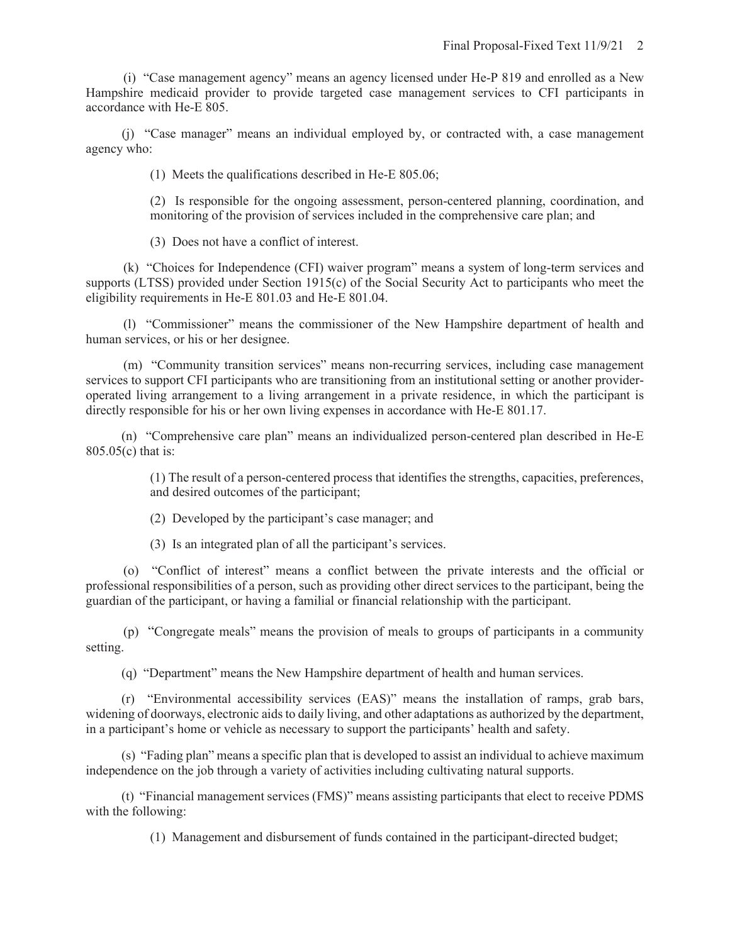(i) "Case management agency" means an agency licensed under He-P 819 and enrolled as a New Hampshire medicaid provider to provide targeted case management services to CFI participants in accordance with He-E 805.

(j) "Case manager" means an individual employed by, or contracted with, a case management agency who:

(1) Meets the qualifications described in He-E 805.06;

(2) Is responsible for the ongoing assessment, person-centered planning, coordination, and monitoring of the provision of services included in the comprehensive care plan; and

(3) Does not have a conflict of interest.

(k) "Choices for Independence (CFI) waiver program" means a system of long-term services and supports (LTSS) provided under Section 1915(c) of the Social Security Act to participants who meet the eligibility requirements in He-E 801.03 and He-E 801.04.

(l) "Commissioner" means the commissioner of the New Hampshire department of health and human services, or his or her designee.

(m) "Community transition services" means non-recurring services, including case management services to support CFI participants who are transitioning from an institutional setting or another provideroperated living arrangement to a living arrangement in a private residence, in which the participant is directly responsible for his or her own living expenses in accordance with He-E 801.17.

(n) "Comprehensive care plan" means an individualized person-centered plan described in He-E 805.05(c) that is:

> (1) The result of a person-centered process that identifies the strengths, capacities, preferences, and desired outcomes of the participant;

(2) Developed by the participant's case manager; and

(3) Is an integrated plan of all the participant's services.

(o) "Conflict of interest" means a conflict between the private interests and the official or professional responsibilities of a person, such as providing other direct services to the participant, being the guardian of the participant, or having a familial or financial relationship with the participant.

(p) "Congregate meals" means the provision of meals to groups of participants in a community setting.

(q) "Department" means the New Hampshire department of health and human services.

(r) "Environmental accessibility services (EAS)" means the installation of ramps, grab bars, widening of doorways, electronic aids to daily living, and other adaptations as authorized by the department, in a participant's home or vehicle as necessary to support the participants' health and safety.

(s) "Fading plan" means a specific plan that is developed to assist an individual to achieve maximum independence on the job through a variety of activities including cultivating natural supports.

(t) "Financial management services (FMS)" means assisting participants that elect to receive PDMS with the following:

(1) Management and disbursement of funds contained in the participant-directed budget;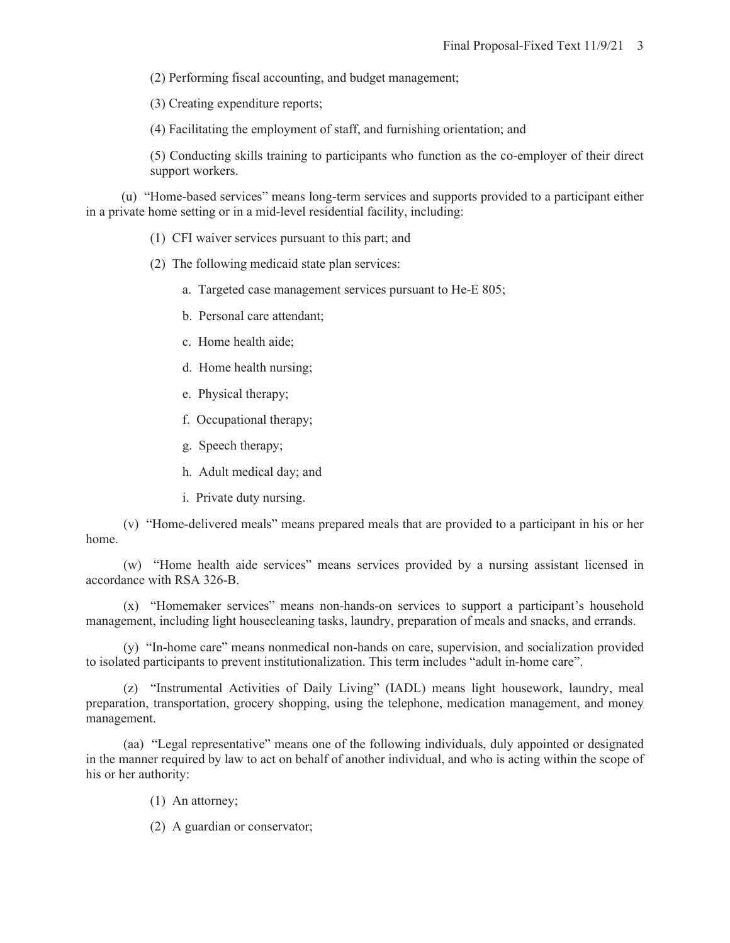(2) Performing fiscal accounting, and budget management;

(3) Creating expenditure reports;

(4) Facilitating the employment of staff, and furnishing orientation; and

(5) Conducting skills training to participants who function as the co-employer of their direct support workers.

(u) "Home-based services" means long-term services and supports provided to a participant either in a private home setting or in a mid-level residential facility, including:

- (1) CFI waiver services pursuant to this part; and
- (2) The following medicaid state plan services:
	- a. Targeted case management services pursuant to He-E 805;
	- b. Personal care attendant;
	- c. Home health aide;
	- d. Home health nursing;
	- e. Physical therapy;
	- f. Occupational therapy;
	- g. Speech therapy;
	- h. Adult medical day; and
	- i. Private duty nursing.

(v) "Home-delivered meals" means prepared meals that are provided to a participant in his or her home.

(w) "Home health aide services" means services provided by a nursing assistant licensed in accordance with RSA 326-B.

(x) "Homemaker services" means non-hands-on services to support a participant's household management, including light housecleaning tasks, laundry, preparation of meals and snacks, and errands.

(y) "In-home care" means nonmedical non-hands on care, supervision, and socialization provided to isolated participants to prevent institutionalization. This term includes "adult in-home care".

(z) "Instrumental Activities of Daily Living" (IADL) means light housework, laundry, meal preparation, transportation, grocery shopping, using the telephone, medication management, and money management.

(aa) "Legal representative" means one of the following individuals, duly appointed or designated in the manner required by law to act on behalf of another individual, and who is acting within the scope of his or her authority:

- (1) An attorney;
- (2) A guardian or conservator;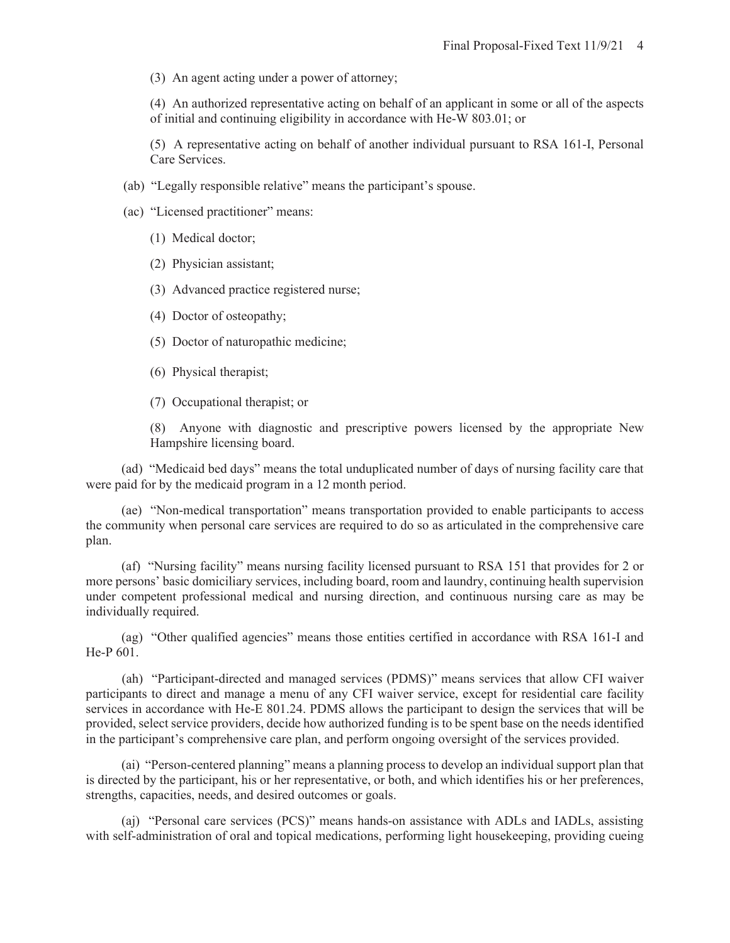(3) An agent acting under a power of attorney;

(4) An authorized representative acting on behalf of an applicant in some or all of the aspects of initial and continuing eligibility in accordance with He-W 803.01; or

(5) A representative acting on behalf of another individual pursuant to RSA 161-I, Personal Care Services.

- (ab) "Legally responsible relative" means the participant's spouse.
- (ac) "Licensed practitioner" means:
	- (1) Medical doctor;
	- (2) Physician assistant;
	- (3) Advanced practice registered nurse;
	- (4) Doctor of osteopathy;
	- (5) Doctor of naturopathic medicine;
	- (6) Physical therapist;
	- (7) Occupational therapist; or

(8) Anyone with diagnostic and prescriptive powers licensed by the appropriate New Hampshire licensing board.

(ad) "Medicaid bed days" means the total unduplicated number of days of nursing facility care that were paid for by the medicaid program in a 12 month period.

(ae) "Non-medical transportation" means transportation provided to enable participants to access the community when personal care services are required to do so as articulated in the comprehensive care plan.

(af) "Nursing facility" means nursing facility licensed pursuant to RSA 151 that provides for 2 or more persons' basic domiciliary services, including board, room and laundry, continuing health supervision under competent professional medical and nursing direction, and continuous nursing care as may be individually required.

(ag) "Other qualified agencies" means those entities certified in accordance with RSA 161-I and He-P 601.

 (ah) "Participant-directed and managed services (PDMS)" means services that allow CFI waiver participants to direct and manage a menu of any CFI waiver service, except for residential care facility services in accordance with He-E 801.24. PDMS allows the participant to design the services that will be provided, select service providers, decide how authorized funding is to be spent base on the needs identified in the participant's comprehensive care plan, and perform ongoing oversight of the services provided.

(ai) "Person-centered planning" means a planning process to develop an individual support plan that is directed by the participant, his or her representative, or both, and which identifies his or her preferences, strengths, capacities, needs, and desired outcomes or goals.

(aj) "Personal care services (PCS)" means hands-on assistance with ADLs and IADLs, assisting with self-administration of oral and topical medications, performing light housekeeping, providing cueing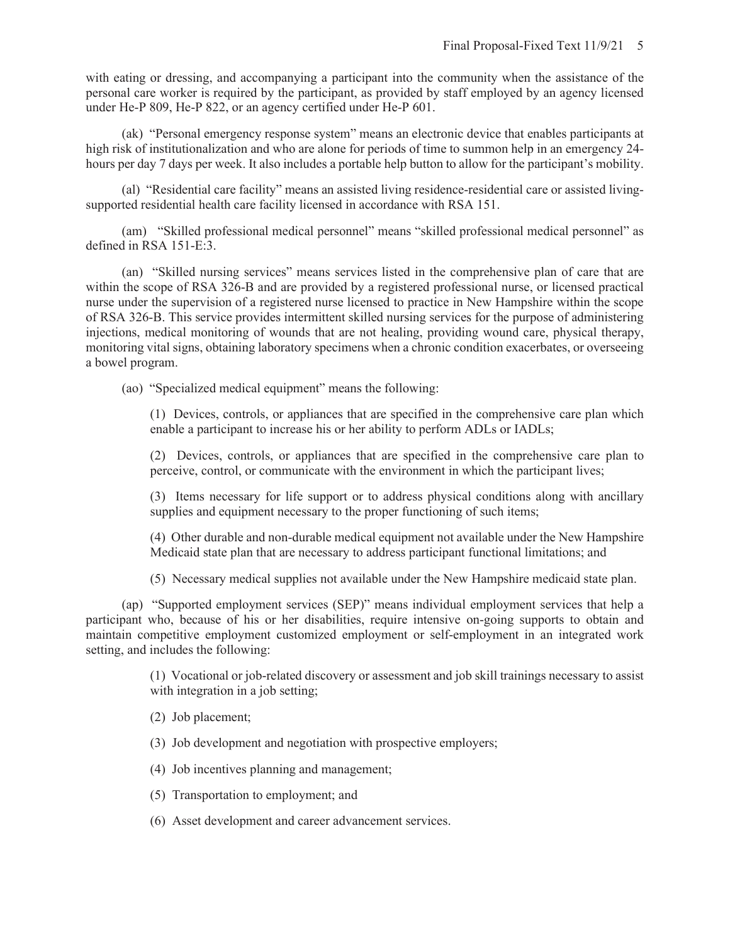with eating or dressing, and accompanying a participant into the community when the assistance of the personal care worker is required by the participant, as provided by staff employed by an agency licensed under He-P 809, He-P 822, or an agency certified under He-P 601.

 (ak) "Personal emergency response system" means an electronic device that enables participants at high risk of institutionalization and who are alone for periods of time to summon help in an emergency 24hours per day 7 days per week. It also includes a portable help button to allow for the participant's mobility.

 (al) "Residential care facility" means an assisted living residence-residential care or assisted livingsupported residential health care facility licensed in accordance with RSA 151.

 (am) "Skilled professional medical personnel" means "skilled professional medical personnel" as defined in RSA 151-E:3.

 (an) "Skilled nursing services" means services listed in the comprehensive plan of care that are within the scope of RSA 326-B and are provided by a registered professional nurse, or licensed practical nurse under the supervision of a registered nurse licensed to practice in New Hampshire within the scope of RSA 326-B. This service provides intermittent skilled nursing services for the purpose of administering injections, medical monitoring of wounds that are not healing, providing wound care, physical therapy, monitoring vital signs, obtaining laboratory specimens when a chronic condition exacerbates, or overseeing a bowel program.

(ao) "Specialized medical equipment" means the following:

(1) Devices, controls, or appliances that are specified in the comprehensive care plan which enable a participant to increase his or her ability to perform ADLs or IADLs;

(2) Devices, controls, or appliances that are specified in the comprehensive care plan to perceive, control, or communicate with the environment in which the participant lives;

(3) Items necessary for life support or to address physical conditions along with ancillary supplies and equipment necessary to the proper functioning of such items;

(4) Other durable and non-durable medical equipment not available under the New Hampshire Medicaid state plan that are necessary to address participant functional limitations; and

(5) Necessary medical supplies not available under the New Hampshire medicaid state plan.

 (ap) "Supported employment services (SEP)" means individual employment services that help a participant who, because of his or her disabilities, require intensive on-going supports to obtain and maintain competitive employment customized employment or self-employment in an integrated work setting, and includes the following:

> (1) Vocational or job-related discovery or assessment and job skill trainings necessary to assist with integration in a job setting;

(2) Job placement;

- (3) Job development and negotiation with prospective employers;
- (4) Job incentives planning and management;
- (5) Transportation to employment; and
- (6) Asset development and career advancement services.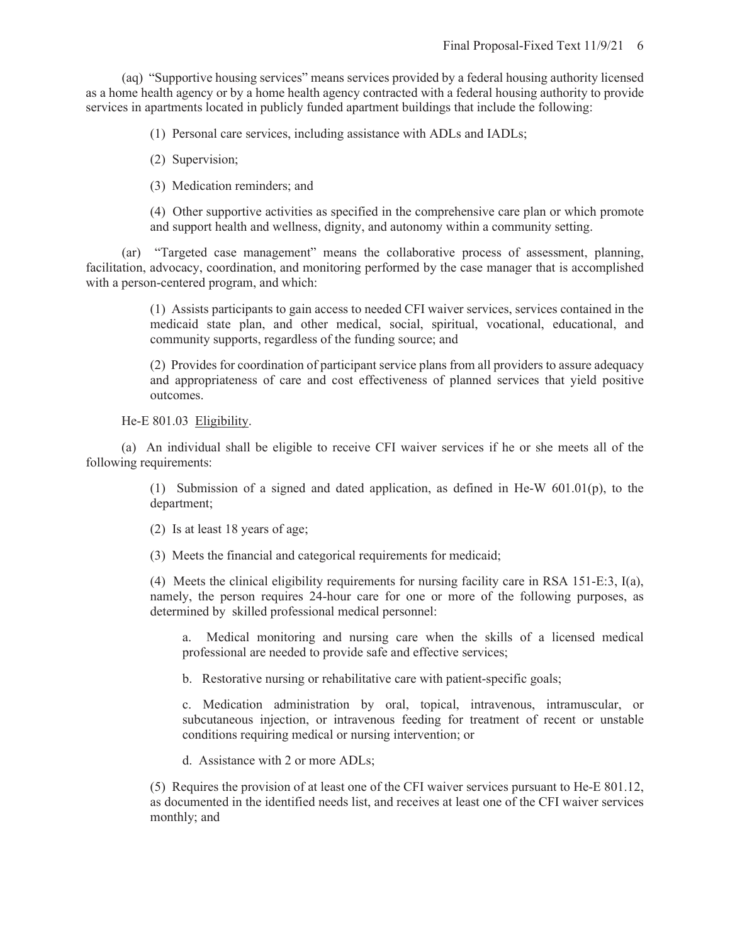(aq) "Supportive housing services" means services provided by a federal housing authority licensed as a home health agency or by a home health agency contracted with a federal housing authority to provide services in apartments located in publicly funded apartment buildings that include the following:

(1) Personal care services, including assistance with ADLs and IADLs;

(2) Supervision;

(3) Medication reminders; and

(4) Other supportive activities as specified in the comprehensive care plan or which promote and support health and wellness, dignity, and autonomy within a community setting.

(ar) "Targeted case management" means the collaborative process of assessment, planning, facilitation, advocacy, coordination, and monitoring performed by the case manager that is accomplished with a person-centered program, and which:

> (1) Assists participants to gain access to needed CFI waiver services, services contained in the medicaid state plan, and other medical, social, spiritual, vocational, educational, and community supports, regardless of the funding source; and

> (2) Provides for coordination of participant service plans from all providers to assure adequacy and appropriateness of care and cost effectiveness of planned services that yield positive outcomes.

He-E 801.03 Eligibility.

(a) An individual shall be eligible to receive CFI waiver services if he or she meets all of the following requirements:

> (1) Submission of a signed and dated application, as defined in He-W 601.01(p), to the department;

(2) Is at least 18 years of age;

(3) Meets the financial and categorical requirements for medicaid;

(4) Meets the clinical eligibility requirements for nursing facility care in RSA 151-E:3, I(a), namely, the person requires 24-hour care for one or more of the following purposes, as determined by skilled professional medical personnel:

a. Medical monitoring and nursing care when the skills of a licensed medical professional are needed to provide safe and effective services;

b. Restorative nursing or rehabilitative care with patient-specific goals;

c. Medication administration by oral, topical, intravenous, intramuscular, or subcutaneous injection, or intravenous feeding for treatment of recent or unstable conditions requiring medical or nursing intervention; or

d. Assistance with 2 or more ADLs;

(5) Requires the provision of at least one of the CFI waiver services pursuant to He-E 801.12, as documented in the identified needs list, and receives at least one of the CFI waiver services monthly; and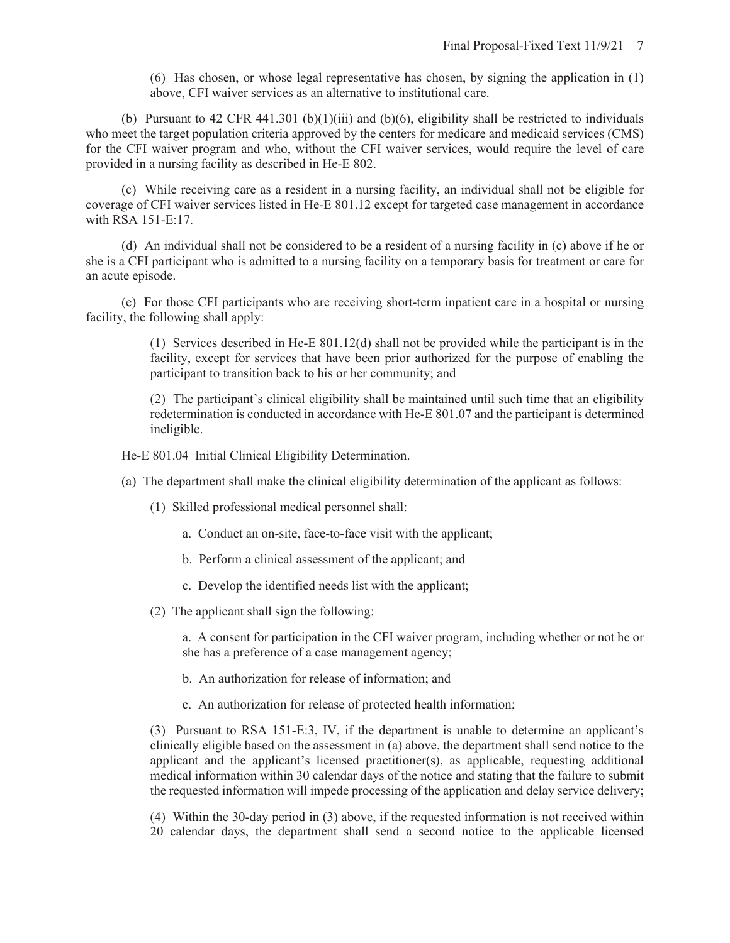(6) Has chosen, or whose legal representative has chosen, by signing the application in (1) above, CFI waiver services as an alternative to institutional care.

(b) Pursuant to 42 CFR 441.301 (b)(1)(iii) and (b)(6), eligibility shall be restricted to individuals who meet the target population criteria approved by the centers for medicare and medicaid services (CMS) for the CFI waiver program and who, without the CFI waiver services, would require the level of care provided in a nursing facility as described in He-E 802.

(c) While receiving care as a resident in a nursing facility, an individual shall not be eligible for coverage of CFI waiver services listed in He-E 801.12 except for targeted case management in accordance with RSA 151-E:17.

(d) An individual shall not be considered to be a resident of a nursing facility in (c) above if he or she is a CFI participant who is admitted to a nursing facility on a temporary basis for treatment or care for an acute episode.

(e) For those CFI participants who are receiving short-term inpatient care in a hospital or nursing facility, the following shall apply:

> (1) Services described in He-E 801.12(d) shall not be provided while the participant is in the facility, except for services that have been prior authorized for the purpose of enabling the participant to transition back to his or her community; and

> (2) The participant's clinical eligibility shall be maintained until such time that an eligibility redetermination is conducted in accordance with He-E 801.07 and the participant is determined ineligible.

He-E 801.04 Initial Clinical Eligibility Determination.

- (a) The department shall make the clinical eligibility determination of the applicant as follows:
	- (1) Skilled professional medical personnel shall:
		- a. Conduct an on-site, face-to-face visit with the applicant;
		- b. Perform a clinical assessment of the applicant; and
		- c. Develop the identified needs list with the applicant;
	- (2) The applicant shall sign the following:

a. A consent for participation in the CFI waiver program, including whether or not he or she has a preference of a case management agency;

- b. An authorization for release of information; and
- c. An authorization for release of protected health information;

(3) Pursuant to RSA 151-E:3, IV, if the department is unable to determine an applicant's clinically eligible based on the assessment in (a) above, the department shall send notice to the applicant and the applicant's licensed practitioner(s), as applicable, requesting additional medical information within 30 calendar days of the notice and stating that the failure to submit the requested information will impede processing of the application and delay service delivery;

(4) Within the 30-day period in (3) above, if the requested information is not received within 20 calendar days, the department shall send a second notice to the applicable licensed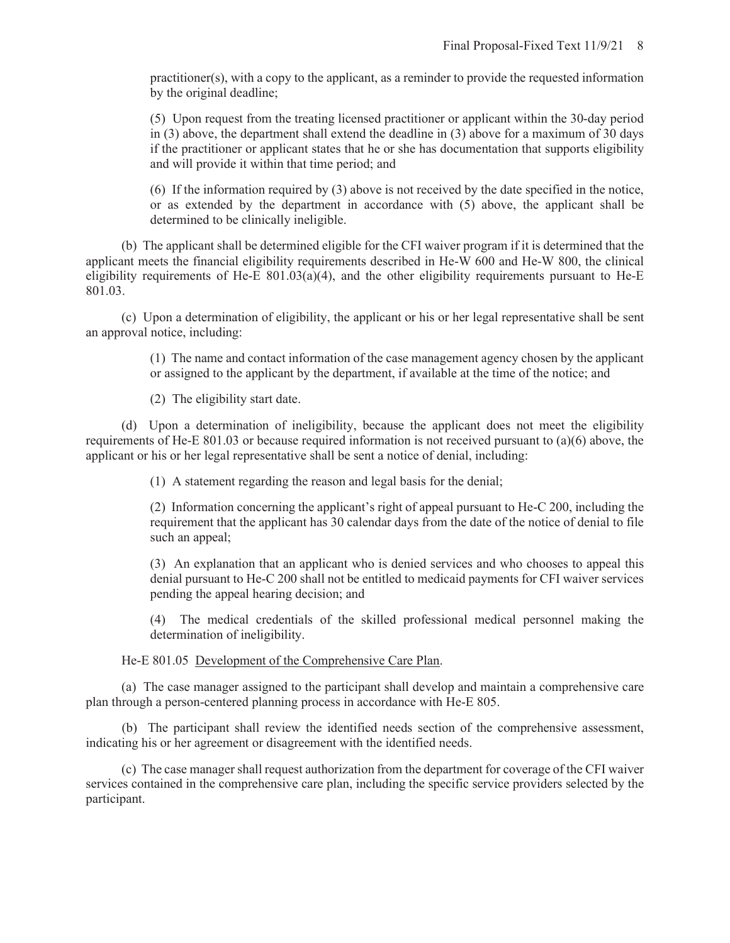practitioner(s), with a copy to the applicant, as a reminder to provide the requested information by the original deadline;

(5) Upon request from the treating licensed practitioner or applicant within the 30-day period in (3) above, the department shall extend the deadline in (3) above for a maximum of 30 days if the practitioner or applicant states that he or she has documentation that supports eligibility and will provide it within that time period; and

(6) If the information required by (3) above is not received by the date specified in the notice, or as extended by the department in accordance with (5) above, the applicant shall be determined to be clinically ineligible.

(b) The applicant shall be determined eligible for the CFI waiver program if it is determined that the applicant meets the financial eligibility requirements described in He-W 600 and He-W 800, the clinical eligibility requirements of He-E 801.03(a)(4), and the other eligibility requirements pursuant to He-E 801.03.

(c) Upon a determination of eligibility, the applicant or his or her legal representative shall be sent an approval notice, including:

> (1) The name and contact information of the case management agency chosen by the applicant or assigned to the applicant by the department, if available at the time of the notice; and

(2) The eligibility start date.

(d) Upon a determination of ineligibility, because the applicant does not meet the eligibility requirements of He-E 801.03 or because required information is not received pursuant to (a)(6) above, the applicant or his or her legal representative shall be sent a notice of denial, including:

(1) A statement regarding the reason and legal basis for the denial;

(2) Information concerning the applicant's right of appeal pursuant to He-C 200, including the requirement that the applicant has 30 calendar days from the date of the notice of denial to file such an appeal;

(3) An explanation that an applicant who is denied services and who chooses to appeal this denial pursuant to He-C 200 shall not be entitled to medicaid payments for CFI waiver services pending the appeal hearing decision; and

(4) The medical credentials of the skilled professional medical personnel making the determination of ineligibility.

He-E 801.05 Development of the Comprehensive Care Plan.

(a) The case manager assigned to the participant shall develop and maintain a comprehensive care plan through a person-centered planning process in accordance with He-E 805.

 (b) The participant shall review the identified needs section of the comprehensive assessment, indicating his or her agreement or disagreement with the identified needs.

(c) The case manager shall request authorization from the department for coverage of the CFI waiver services contained in the comprehensive care plan, including the specific service providers selected by the participant.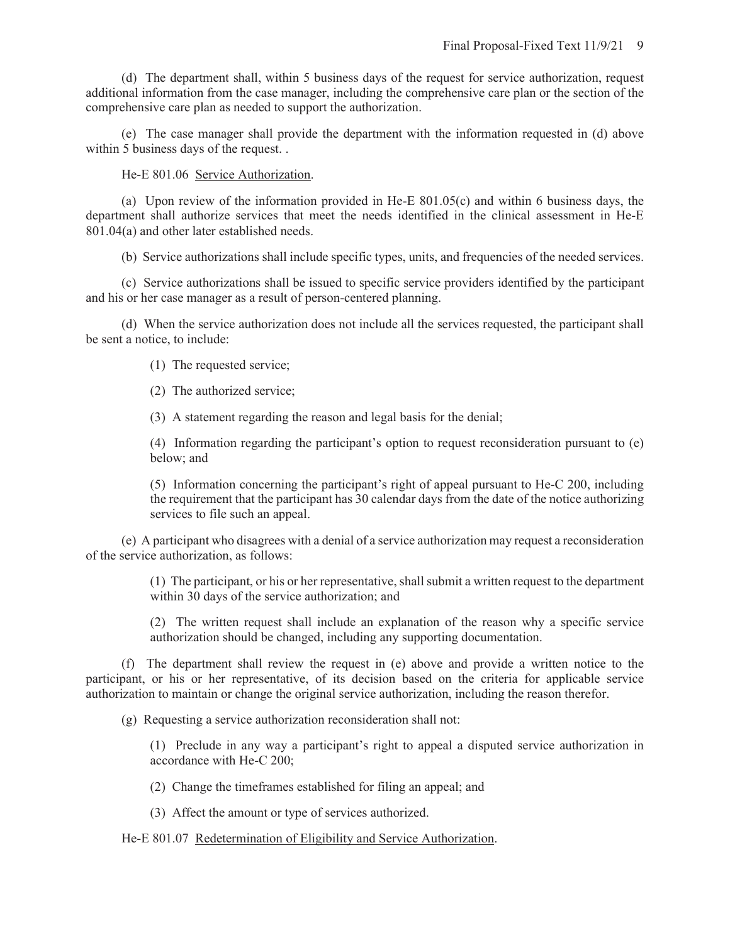(d) The department shall, within 5 business days of the request for service authorization, request additional information from the case manager, including the comprehensive care plan or the section of the comprehensive care plan as needed to support the authorization.

(e) The case manager shall provide the department with the information requested in (d) above within 5 business days of the request...

He-E 801.06 Service Authorization.

(a) Upon review of the information provided in He-E 801.05(c) and within 6 business days, the department shall authorize services that meet the needs identified in the clinical assessment in He-E 801.04(a) and other later established needs.

(b) Service authorizations shall include specific types, units, and frequencies of the needed services.

(c) Service authorizations shall be issued to specific service providers identified by the participant and his or her case manager as a result of person-centered planning.

(d) When the service authorization does not include all the services requested, the participant shall be sent a notice, to include:

(1) The requested service;

(2) The authorized service;

(3) A statement regarding the reason and legal basis for the denial;

(4) Information regarding the participant's option to request reconsideration pursuant to (e) below; and

(5) Information concerning the participant's right of appeal pursuant to He-C 200, including the requirement that the participant has 30 calendar days from the date of the notice authorizing services to file such an appeal.

(e) A participant who disagrees with a denial of a service authorization may request a reconsideration of the service authorization, as follows:

> (1) The participant, or his or her representative, shall submit a written request to the department within 30 days of the service authorization; and

> (2) The written request shall include an explanation of the reason why a specific service authorization should be changed, including any supporting documentation.

(f) The department shall review the request in (e) above and provide a written notice to the participant, or his or her representative, of its decision based on the criteria for applicable service authorization to maintain or change the original service authorization, including the reason therefor.

(g) Requesting a service authorization reconsideration shall not:

(1) Preclude in any way a participant's right to appeal a disputed service authorization in accordance with He-C 200;

(2) Change the timeframes established for filing an appeal; and

(3) Affect the amount or type of services authorized.

He-E 801.07 Redetermination of Eligibility and Service Authorization.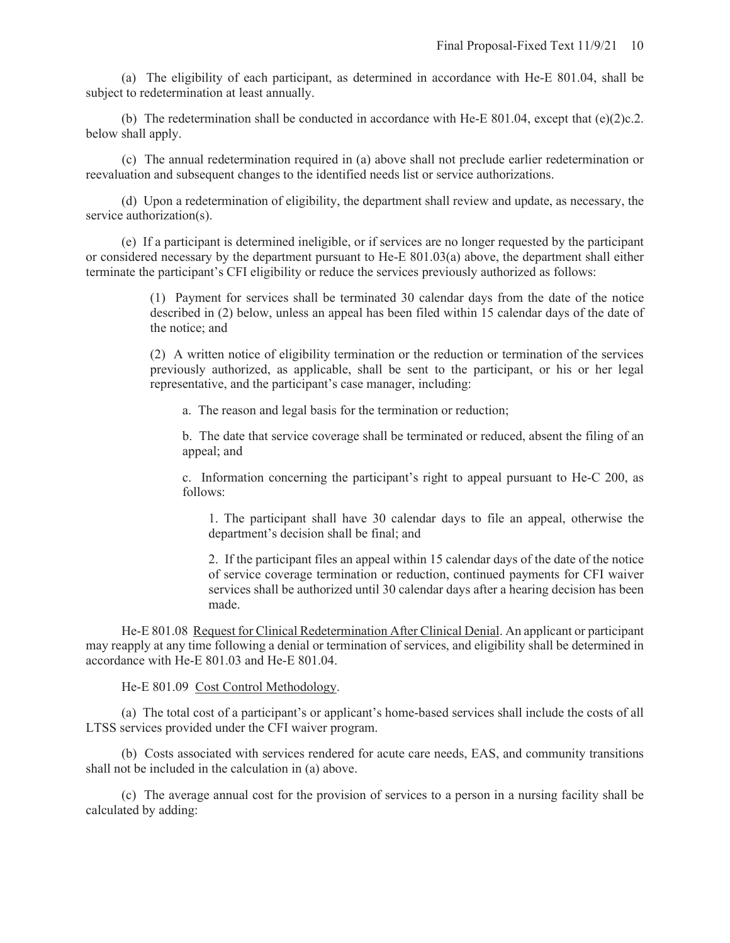(a) The eligibility of each participant, as determined in accordance with He-E 801.04, shall be subject to redetermination at least annually.

(b) The redetermination shall be conducted in accordance with He-E 801.04, except that  $(e)(2)c.2$ . below shall apply.

 (c) The annual redetermination required in (a) above shall not preclude earlier redetermination or reevaluation and subsequent changes to the identified needs list or service authorizations.

(d) Upon a redetermination of eligibility, the department shall review and update, as necessary, the service authorization(s).

(e) If a participant is determined ineligible, or if services are no longer requested by the participant or considered necessary by the department pursuant to He-E 801.03(a) above, the department shall either terminate the participant's CFI eligibility or reduce the services previously authorized as follows:

> (1) Payment for services shall be terminated 30 calendar days from the date of the notice described in (2) below, unless an appeal has been filed within 15 calendar days of the date of the notice; and

> (2) A written notice of eligibility termination or the reduction or termination of the services previously authorized, as applicable, shall be sent to the participant, or his or her legal representative, and the participant's case manager, including:

a. The reason and legal basis for the termination or reduction;

b. The date that service coverage shall be terminated or reduced, absent the filing of an appeal; and

c. Information concerning the participant's right to appeal pursuant to He-C 200, as follows:

1. The participant shall have 30 calendar days to file an appeal, otherwise the department's decision shall be final; and

2. If the participant files an appeal within 15 calendar days of the date of the notice of service coverage termination or reduction, continued payments for CFI waiver services shall be authorized until 30 calendar days after a hearing decision has been made.

He-E 801.08 Request for Clinical Redetermination After Clinical Denial. An applicant or participant may reapply at any time following a denial or termination of services, and eligibility shall be determined in accordance with He-E 801.03 and He-E 801.04.

He-E 801.09 Cost Control Methodology.

(a) The total cost of a participant's or applicant's home-based services shall include the costs of all LTSS services provided under the CFI waiver program.

(b) Costs associated with services rendered for acute care needs, EAS, and community transitions shall not be included in the calculation in (a) above.

(c) The average annual cost for the provision of services to a person in a nursing facility shall be calculated by adding: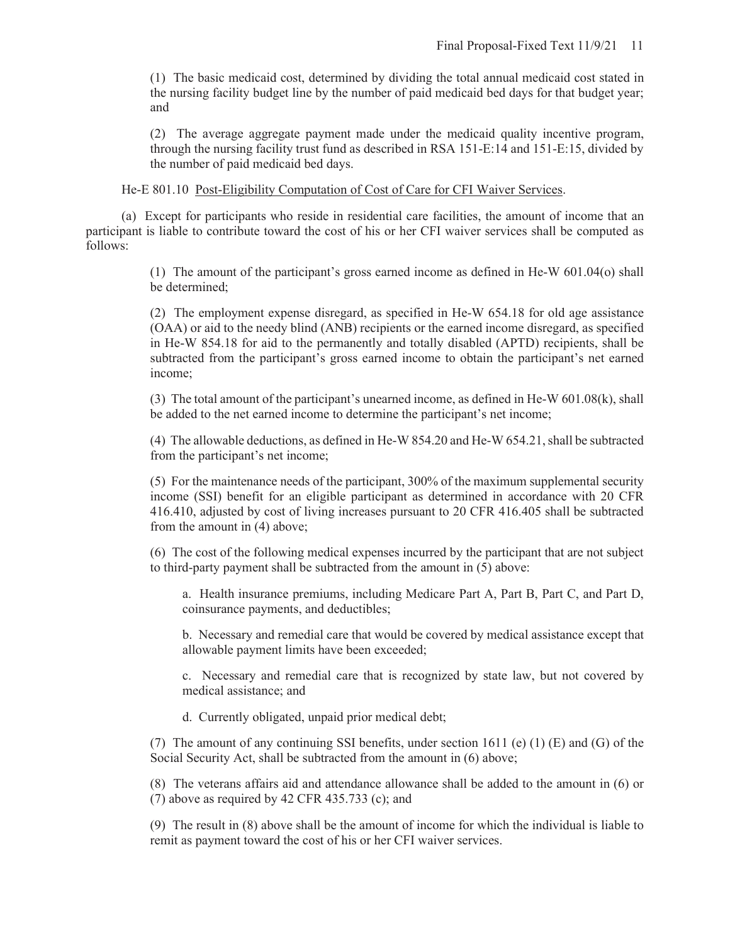(1) The basic medicaid cost, determined by dividing the total annual medicaid cost stated in the nursing facility budget line by the number of paid medicaid bed days for that budget year; and

(2) The average aggregate payment made under the medicaid quality incentive program, through the nursing facility trust fund as described in RSA 151-E:14 and 151-E:15, divided by the number of paid medicaid bed days.

He-E 801.10 Post-Eligibility Computation of Cost of Care for CFI Waiver Services.

(a) Except for participants who reside in residential care facilities, the amount of income that an participant is liable to contribute toward the cost of his or her CFI waiver services shall be computed as follows:

> (1) The amount of the participant's gross earned income as defined in He-W 601.04(o) shall be determined;

> (2) The employment expense disregard, as specified in He-W 654.18 for old age assistance (OAA) or aid to the needy blind (ANB) recipients or the earned income disregard, as specified in He-W 854.18 for aid to the permanently and totally disabled (APTD) recipients, shall be subtracted from the participant's gross earned income to obtain the participant's net earned income;

> (3) The total amount of the participant's unearned income, as defined in He-W 601.08(k), shall be added to the net earned income to determine the participant's net income;

> (4) The allowable deductions, as defined in He-W 854.20 and He-W 654.21, shall be subtracted from the participant's net income;

> (5) For the maintenance needs of the participant, 300% of the maximum supplemental security income (SSI) benefit for an eligible participant as determined in accordance with 20 CFR 416.410, adjusted by cost of living increases pursuant to 20 CFR 416.405 shall be subtracted from the amount in (4) above;

> (6) The cost of the following medical expenses incurred by the participant that are not subject to third-party payment shall be subtracted from the amount in (5) above:

a. Health insurance premiums, including Medicare Part A, Part B, Part C, and Part D, coinsurance payments, and deductibles;

b. Necessary and remedial care that would be covered by medical assistance except that allowable payment limits have been exceeded;

c. Necessary and remedial care that is recognized by state law, but not covered by medical assistance; and

d. Currently obligated, unpaid prior medical debt;

(7) The amount of any continuing SSI benefits, under section 1611 (e) (1) (E) and (G) of the Social Security Act, shall be subtracted from the amount in (6) above;

(8) The veterans affairs aid and attendance allowance shall be added to the amount in (6) or (7) above as required by 42 CFR 435.733 (c); and

(9) The result in (8) above shall be the amount of income for which the individual is liable to remit as payment toward the cost of his or her CFI waiver services.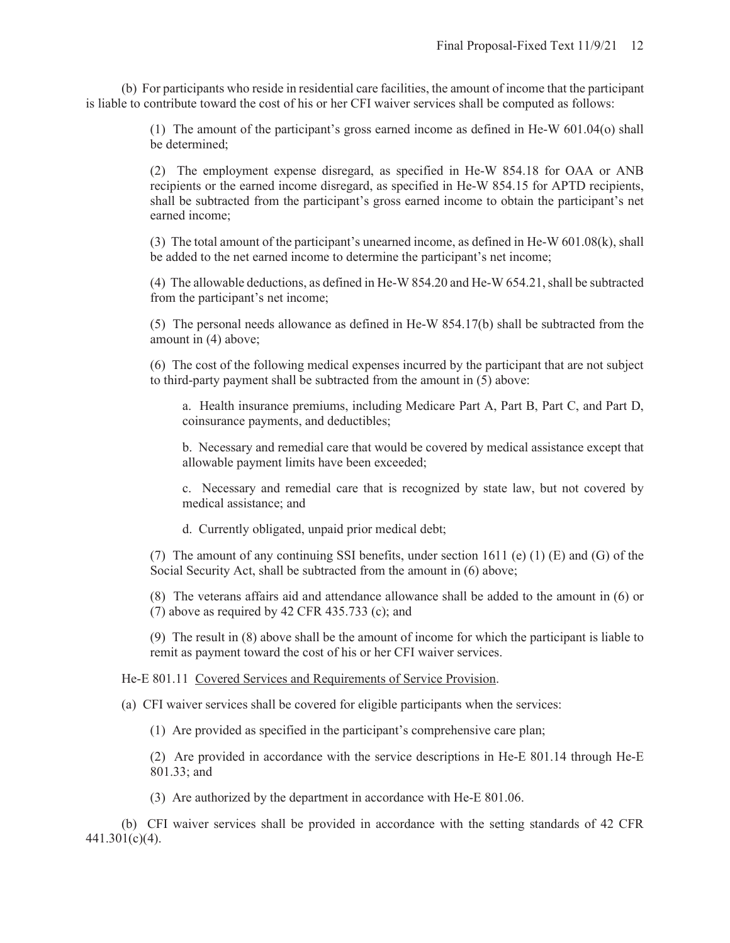(b) For participants who reside in residential care facilities, the amount of income that the participant is liable to contribute toward the cost of his or her CFI waiver services shall be computed as follows:

> (1) The amount of the participant's gross earned income as defined in He-W 601.04(o) shall be determined;

> (2) The employment expense disregard, as specified in He-W 854.18 for OAA or ANB recipients or the earned income disregard, as specified in He-W 854.15 for APTD recipients, shall be subtracted from the participant's gross earned income to obtain the participant's net earned income;

> (3) The total amount of the participant's unearned income, as defined in He-W  $601.08(k)$ , shall be added to the net earned income to determine the participant's net income;

> (4) The allowable deductions, as defined in He-W 854.20 and He-W 654.21, shall be subtracted from the participant's net income;

> (5) The personal needs allowance as defined in He-W 854.17(b) shall be subtracted from the amount in (4) above;

> (6) The cost of the following medical expenses incurred by the participant that are not subject to third-party payment shall be subtracted from the amount in (5) above:

a. Health insurance premiums, including Medicare Part A, Part B, Part C, and Part D, coinsurance payments, and deductibles;

b. Necessary and remedial care that would be covered by medical assistance except that allowable payment limits have been exceeded;

c. Necessary and remedial care that is recognized by state law, but not covered by medical assistance; and

d. Currently obligated, unpaid prior medical debt;

(7) The amount of any continuing SSI benefits, under section 1611 (e) (1) (E) and (G) of the Social Security Act, shall be subtracted from the amount in (6) above;

(8) The veterans affairs aid and attendance allowance shall be added to the amount in (6) or (7) above as required by 42 CFR 435.733 (c); and

(9) The result in (8) above shall be the amount of income for which the participant is liable to remit as payment toward the cost of his or her CFI waiver services.

He-E 801.11 Covered Services and Requirements of Service Provision.

(a) CFI waiver services shall be covered for eligible participants when the services:

(1) Are provided as specified in the participant's comprehensive care plan;

(2) Are provided in accordance with the service descriptions in He-E 801.14 through He-E 801.33; and

(3) Are authorized by the department in accordance with He-E 801.06.

(b) CFI waiver services shall be provided in accordance with the setting standards of 42 CFR 441.301(c)(4).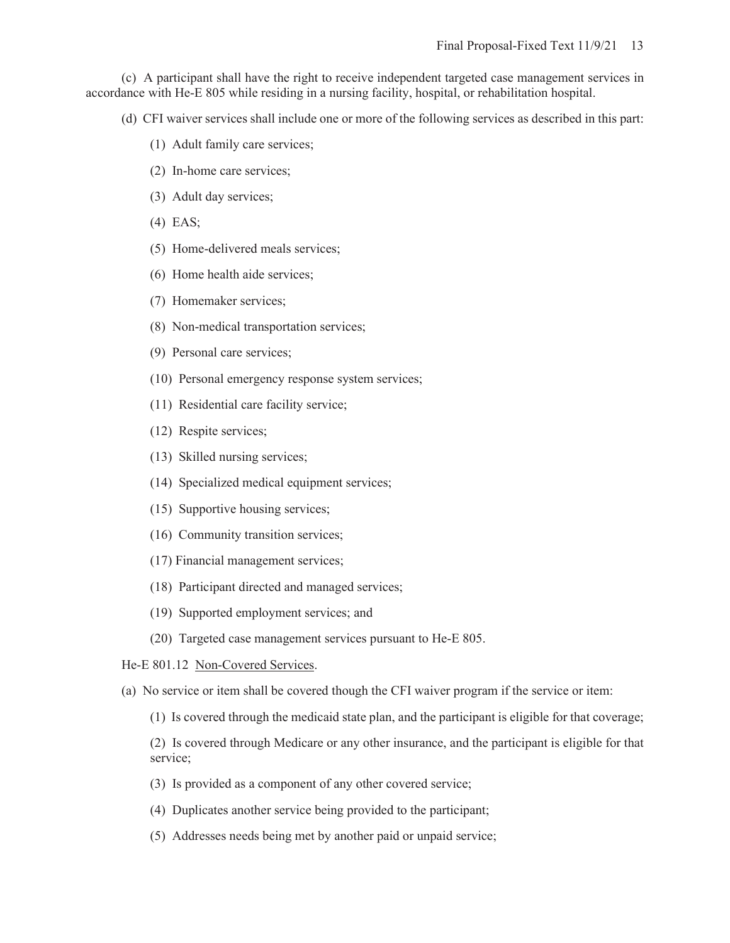(c) A participant shall have the right to receive independent targeted case management services in accordance with He-E 805 while residing in a nursing facility, hospital, or rehabilitation hospital.

(d) CFI waiver services shall include one or more of the following services as described in this part:

- (1) Adult family care services;
- (2) In-home care services;
- (3) Adult day services;
- (4) EAS;
- (5) Home-delivered meals services;
- (6) Home health aide services;
- (7) Homemaker services;
- (8) Non-medical transportation services;
- (9) Personal care services;
- (10) Personal emergency response system services;
- (11) Residential care facility service;
- (12) Respite services;
- (13) Skilled nursing services;
- (14) Specialized medical equipment services;
- (15) Supportive housing services;
- (16) Community transition services;
- (17) Financial management services;
- (18) Participant directed and managed services;
- (19) Supported employment services; and
- (20) Targeted case management services pursuant to He-E 805.

He-E 801.12 Non-Covered Services.

(a) No service or item shall be covered though the CFI waiver program if the service or item:

(1) Is covered through the medicaid state plan, and the participant is eligible for that coverage;

(2) Is covered through Medicare or any other insurance, and the participant is eligible for that service;

- (3) Is provided as a component of any other covered service;
- (4) Duplicates another service being provided to the participant;
- (5) Addresses needs being met by another paid or unpaid service;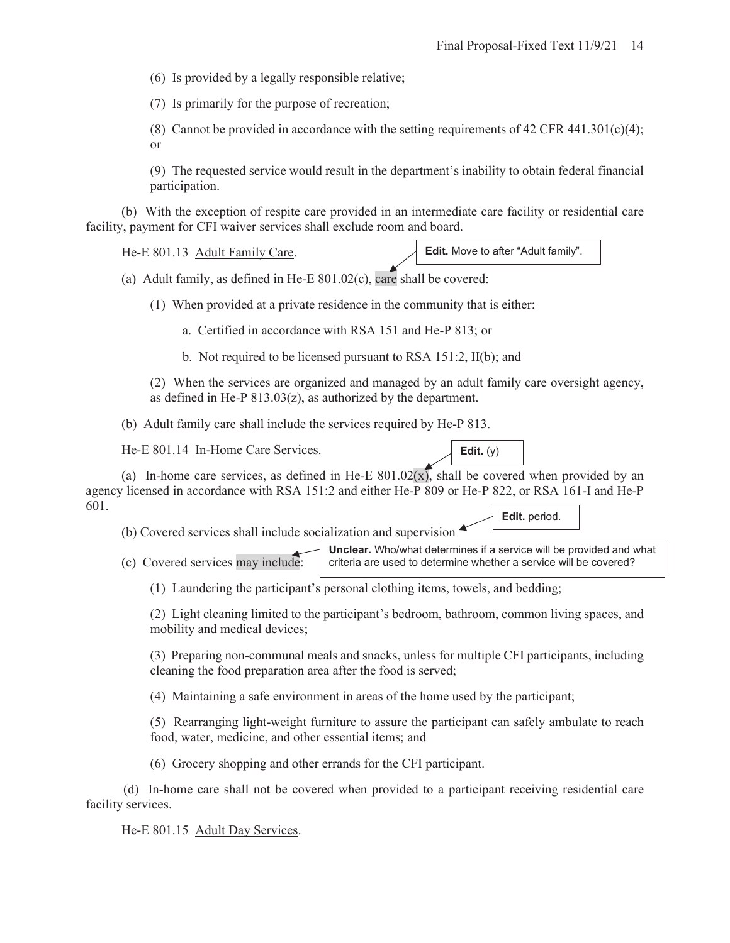(6) Is provided by a legally responsible relative;

(7) Is primarily for the purpose of recreation;

(8) Cannot be provided in accordance with the setting requirements of 42 CFR 441.301(c)(4); or

(9) The requested service would result in the department's inability to obtain federal financial participation.

(b) With the exception of respite care provided in an intermediate care facility or residential care facility, payment for CFI waiver services shall exclude room and board.

He-E 801.13 Adult Family Care. **Edit.** Move to after "Adult family".

(a) Adult family, as defined in He-E 801.02(c), care shall be covered:

(1) When provided at a private residence in the community that is either:

a. Certified in accordance with RSA 151 and He-P 813; or

b. Not required to be licensed pursuant to RSA 151:2, II(b); and

(2) When the services are organized and managed by an adult family care oversight agency, as defined in He-P  $813.03(z)$ , as authorized by the department.

(b) Adult family care shall include the services required by He-P 813.

He-E 801.14 In-Home Care Services.

(a) In-home care services, as defined in He-E  $801.02(x)$ , shall be covered when provided by an agency licensed in accordance with RSA 151:2 and either He-P 809 or He-P 822, or RSA 161-I and He-P 601. **Edit.** period.

(b) Covered services shall include socialization and supervision

(c) Covered services may include: **Unclear.** Who/what determines if a service will be provided and what criteria are used to determine whether a service will be covered?

**Edit.** (y)

(1) Laundering the participant's personal clothing items, towels, and bedding;

(2) Light cleaning limited to the participant's bedroom, bathroom, common living spaces, and mobility and medical devices;

(3) Preparing non-communal meals and snacks, unless for multiple CFI participants, including cleaning the food preparation area after the food is served;

(4) Maintaining a safe environment in areas of the home used by the participant;

(5) Rearranging light-weight furniture to assure the participant can safely ambulate to reach food, water, medicine, and other essential items; and

(6) Grocery shopping and other errands for the CFI participant.

(d) In-home care shall not be covered when provided to a participant receiving residential care facility services.

He-E 801.15 Adult Day Services.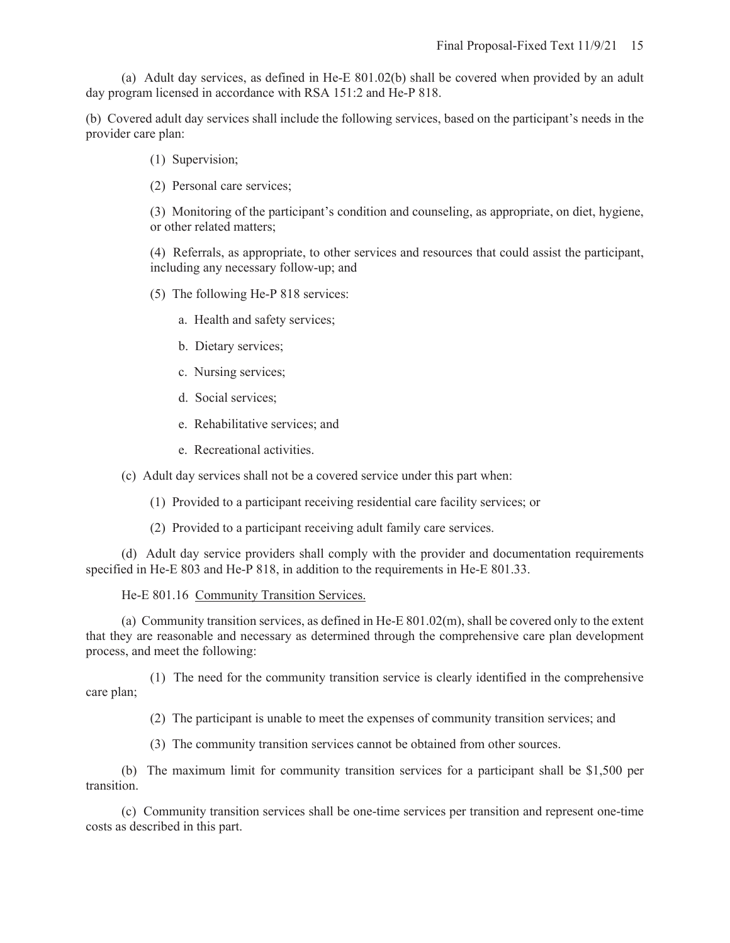(a) Adult day services, as defined in He-E 801.02(b) shall be covered when provided by an adult day program licensed in accordance with RSA 151:2 and He-P 818.

(b) Covered adult day services shall include the following services, based on the participant's needs in the provider care plan:

(1) Supervision;

(2) Personal care services;

(3) Monitoring of the participant's condition and counseling, as appropriate, on diet, hygiene, or other related matters;

(4) Referrals, as appropriate, to other services and resources that could assist the participant, including any necessary follow-up; and

(5) The following He-P 818 services:

- a. Health and safety services;
- b. Dietary services;
- c. Nursing services;
- d. Social services;
- e. Rehabilitative services; and
- e. Recreational activities.

(c) Adult day services shall not be a covered service under this part when:

- (1) Provided to a participant receiving residential care facility services; or
- (2) Provided to a participant receiving adult family care services.

(d) Adult day service providers shall comply with the provider and documentation requirements specified in He-E 803 and He-P 818, in addition to the requirements in He-E 801.33.

He-E 801.16 Community Transition Services.

(a) Community transition services, as defined in He-E 801.02(m), shall be covered only to the extent that they are reasonable and necessary as determined through the comprehensive care plan development process, and meet the following:

 (1) The need for the community transition service is clearly identified in the comprehensive care plan;

(2) The participant is unable to meet the expenses of community transition services; and

(3) The community transition services cannot be obtained from other sources.

(b) The maximum limit for community transition services for a participant shall be \$1,500 per transition.

(c) Community transition services shall be one-time services per transition and represent one-time costs as described in this part.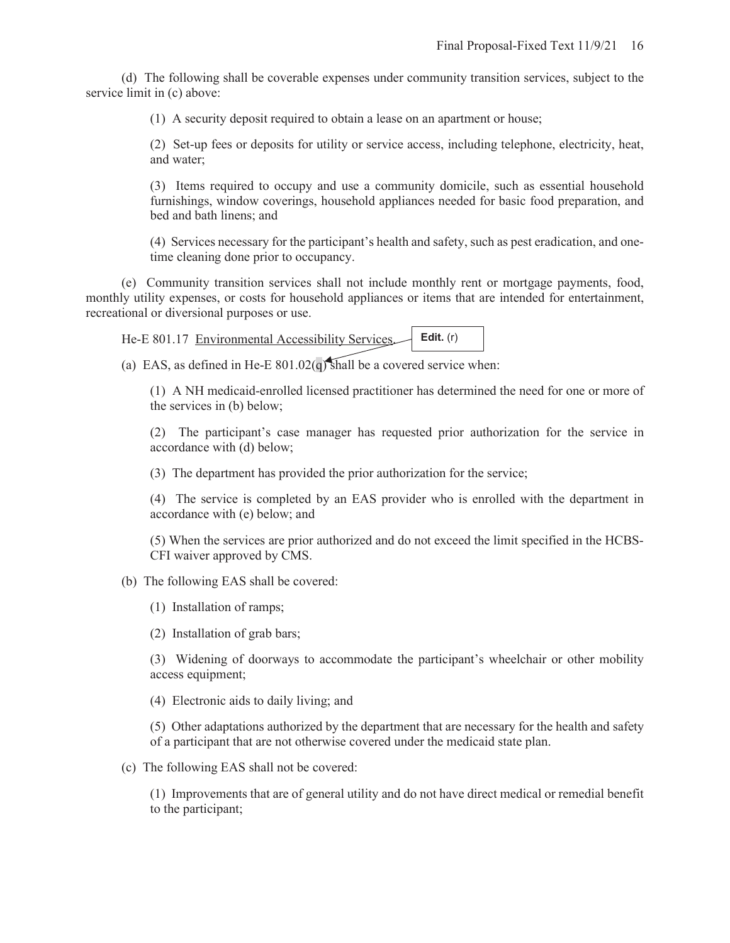(d) The following shall be coverable expenses under community transition services, subject to the service limit in (c) above:

(1) A security deposit required to obtain a lease on an apartment or house;

(2) Set-up fees or deposits for utility or service access, including telephone, electricity, heat, and water;

(3) Items required to occupy and use a community domicile, such as essential household furnishings, window coverings, household appliances needed for basic food preparation, and bed and bath linens; and

(4) Services necessary for the participant's health and safety, such as pest eradication, and onetime cleaning done prior to occupancy.

(e) Community transition services shall not include monthly rent or mortgage payments, food, monthly utility expenses, or costs for household appliances or items that are intended for entertainment, recreational or diversional purposes or use.

| $He-E 801.17$ Environmental Accessibility Services $\Box$ Edit. (r) |  |  |
|---------------------------------------------------------------------|--|--|
|                                                                     |  |  |

(a) EAS, as defined in He-E  $801.02(q)$  shall be a covered service when:

(1) A NH medicaid-enrolled licensed practitioner has determined the need for one or more of the services in (b) below;

(2) The participant's case manager has requested prior authorization for the service in accordance with (d) below;

(3) The department has provided the prior authorization for the service;

(4) The service is completed by an EAS provider who is enrolled with the department in accordance with (e) below; and

(5) When the services are prior authorized and do not exceed the limit specified in the HCBS-CFI waiver approved by CMS.

(b) The following EAS shall be covered:

(1) Installation of ramps;

(2) Installation of grab bars;

(3) Widening of doorways to accommodate the participant's wheelchair or other mobility access equipment;

(4) Electronic aids to daily living; and

(5) Other adaptations authorized by the department that are necessary for the health and safety of a participant that are not otherwise covered under the medicaid state plan.

(c) The following EAS shall not be covered:

(1) Improvements that are of general utility and do not have direct medical or remedial benefit to the participant;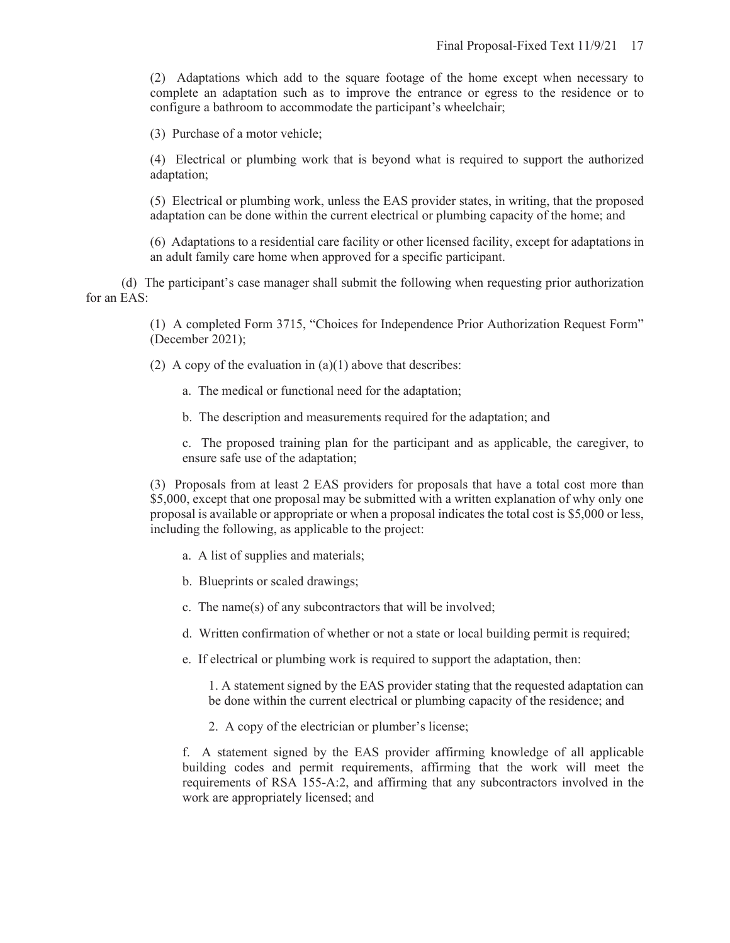(2) Adaptations which add to the square footage of the home except when necessary to complete an adaptation such as to improve the entrance or egress to the residence or to configure a bathroom to accommodate the participant's wheelchair;

(3) Purchase of a motor vehicle;

(4) Electrical or plumbing work that is beyond what is required to support the authorized adaptation;

(5) Electrical or plumbing work, unless the EAS provider states, in writing, that the proposed adaptation can be done within the current electrical or plumbing capacity of the home; and

(6) Adaptations to a residential care facility or other licensed facility, except for adaptations in an adult family care home when approved for a specific participant.

(d) The participant's case manager shall submit the following when requesting prior authorization for an EAS:

> (1) A completed Form 3715, "Choices for Independence Prior Authorization Request Form" (December 2021);

(2) A copy of the evaluation in  $(a)(1)$  above that describes:

- a. The medical or functional need for the adaptation;
- b. The description and measurements required for the adaptation; and

c. The proposed training plan for the participant and as applicable, the caregiver, to ensure safe use of the adaptation;

(3) Proposals from at least 2 EAS providers for proposals that have a total cost more than \$5,000, except that one proposal may be submitted with a written explanation of why only one proposal is available or appropriate or when a proposal indicates the total cost is \$5,000 or less, including the following, as applicable to the project:

- a. A list of supplies and materials;
- b. Blueprints or scaled drawings;
- c. The name(s) of any subcontractors that will be involved;
- d. Written confirmation of whether or not a state or local building permit is required;
- e. If electrical or plumbing work is required to support the adaptation, then:

1. A statement signed by the EAS provider stating that the requested adaptation can be done within the current electrical or plumbing capacity of the residence; and

2. A copy of the electrician or plumber's license;

f. A statement signed by the EAS provider affirming knowledge of all applicable building codes and permit requirements, affirming that the work will meet the requirements of RSA 155-A:2, and affirming that any subcontractors involved in the work are appropriately licensed; and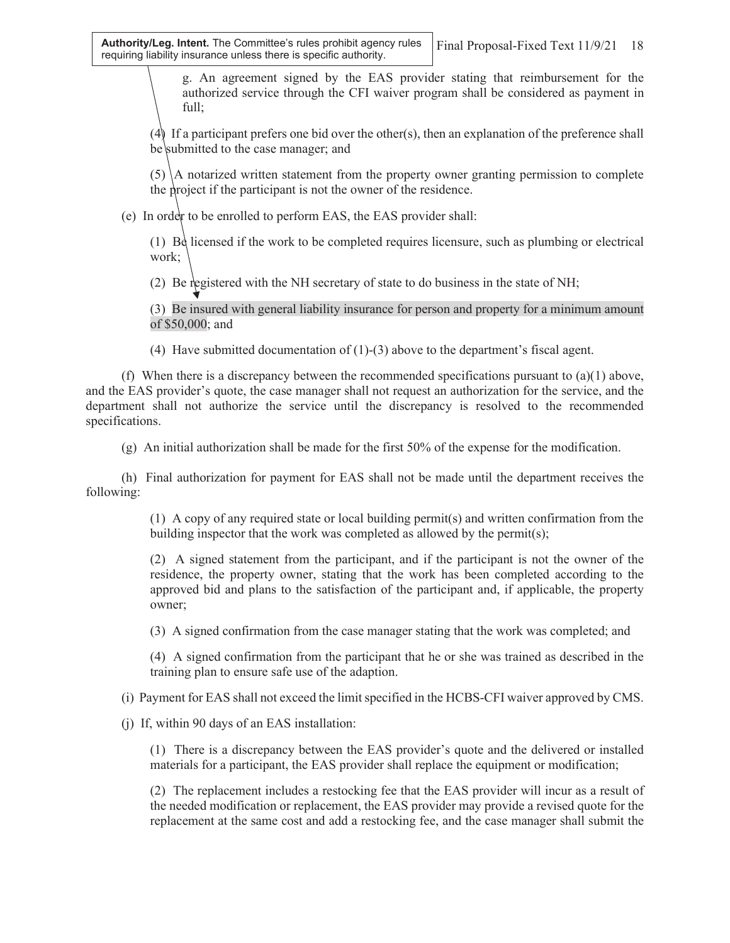g. An agreement signed by the EAS provider stating that reimbursement for the authorized service through the CFI waiver program shall be considered as payment in full;

(4) If a participant prefers one bid over the other(s), then an explanation of the preference shall be submitted to the case manager; and

 $(5)$  A notarized written statement from the property owner granting permission to complete the project if the participant is not the owner of the residence.

(e) In order to be enrolled to perform EAS, the EAS provider shall:

 $(1)$  Be licensed if the work to be completed requires licensure, such as plumbing or electrical work;

(2) Be registered with the NH secretary of state to do business in the state of NH;

(3) Be insured with general liability insurance for person and property for a minimum amount of \$50,000; and

(4) Have submitted documentation of (1)-(3) above to the department's fiscal agent.

(f) When there is a discrepancy between the recommended specifications pursuant to  $(a)(1)$  above, and the EAS provider's quote, the case manager shall not request an authorization for the service, and the department shall not authorize the service until the discrepancy is resolved to the recommended specifications.

(g) An initial authorization shall be made for the first 50% of the expense for the modification.

(h) Final authorization for payment for EAS shall not be made until the department receives the following:

> (1) A copy of any required state or local building permit(s) and written confirmation from the building inspector that the work was completed as allowed by the permit(s);

> (2) A signed statement from the participant, and if the participant is not the owner of the residence, the property owner, stating that the work has been completed according to the approved bid and plans to the satisfaction of the participant and, if applicable, the property owner;

(3) A signed confirmation from the case manager stating that the work was completed; and

(4) A signed confirmation from the participant that he or she was trained as described in the training plan to ensure safe use of the adaption.

(i) Payment for EAS shall not exceed the limit specified in the HCBS-CFI waiver approved by CMS.

(j) If, within 90 days of an EAS installation:

(1) There is a discrepancy between the EAS provider's quote and the delivered or installed materials for a participant, the EAS provider shall replace the equipment or modification;

(2) The replacement includes a restocking fee that the EAS provider will incur as a result of the needed modification or replacement, the EAS provider may provide a revised quote for the replacement at the same cost and add a restocking fee, and the case manager shall submit the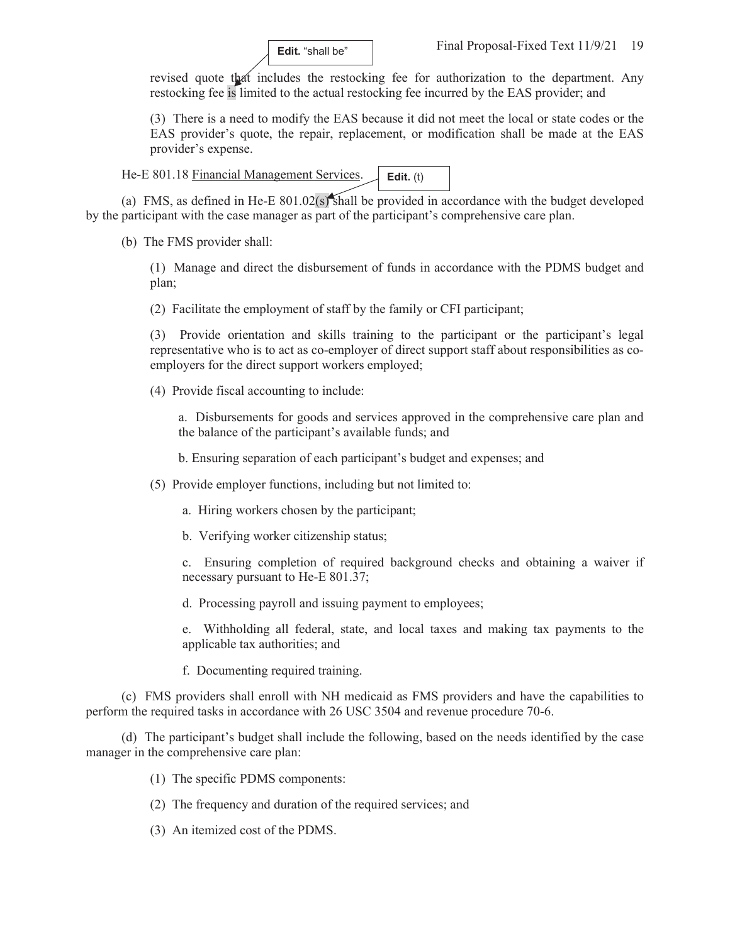

revised quote that includes the restocking fee for authorization to the department. Any restocking fee is limited to the actual restocking fee incurred by the EAS provider; and

(3) There is a need to modify the EAS because it did not meet the local or state codes or the EAS provider's quote, the repair, replacement, or modification shall be made at the EAS provider's expense.

He-E 801.18 Financial Management Services. **Edit.** (t)

(a) FMS, as defined in He-E 801.02(s) shall be provided in accordance with the budget developed by the participant with the case manager as part of the participant's comprehensive care plan.

(b) The FMS provider shall:

(1) Manage and direct the disbursement of funds in accordance with the PDMS budget and plan;

(2) Facilitate the employment of staff by the family or CFI participant;

(3) Provide orientation and skills training to the participant or the participant's legal representative who is to act as co-employer of direct support staff about responsibilities as coemployers for the direct support workers employed;

(4) Provide fiscal accounting to include:

a. Disbursements for goods and services approved in the comprehensive care plan and the balance of the participant's available funds; and

b. Ensuring separation of each participant's budget and expenses; and

(5) Provide employer functions, including but not limited to:

a. Hiring workers chosen by the participant;

b. Verifying worker citizenship status;

c. Ensuring completion of required background checks and obtaining a waiver if necessary pursuant to He-E 801.37;

d. Processing payroll and issuing payment to employees;

e. Withholding all federal, state, and local taxes and making tax payments to the applicable tax authorities; and

f. Documenting required training.

(c) FMS providers shall enroll with NH medicaid as FMS providers and have the capabilities to perform the required tasks in accordance with 26 USC 3504 and revenue procedure 70-6.

(d) The participant's budget shall include the following, based on the needs identified by the case manager in the comprehensive care plan:

(1) The specific PDMS components:

- (2) The frequency and duration of the required services; and
- (3) An itemized cost of the PDMS.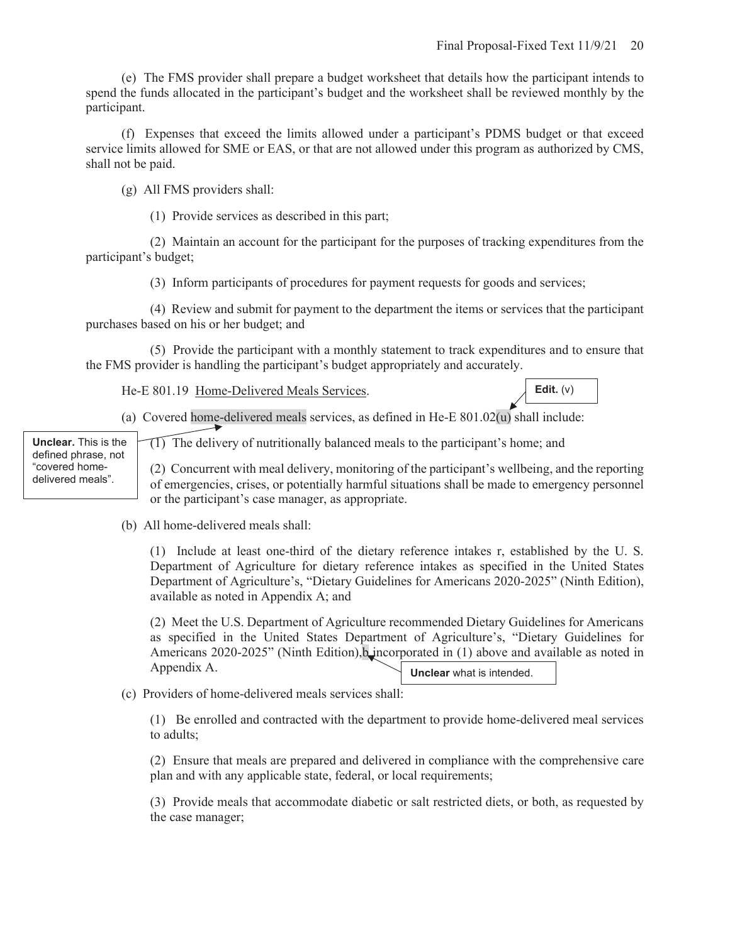(e) The FMS provider shall prepare a budget worksheet that details how the participant intends to spend the funds allocated in the participant's budget and the worksheet shall be reviewed monthly by the participant.

(f) Expenses that exceed the limits allowed under a participant's PDMS budget or that exceed service limits allowed for SME or EAS, or that are not allowed under this program as authorized by CMS, shall not be paid.

(g) All FMS providers shall: Ì

(1) Provide services as described in this part;

 (2) Maintain an account for the participant for the purposes of tracking expenditures from the participant's budget;

(3) Inform participants of procedures for payment requests for goods and services;

 (4) Review and submit for payment to the department the items or services that the participant purchases based on his or her budget; and

 (5) Provide the participant with a monthly statement to track expenditures and to ensure that the FMS provider is handling the participant's budget appropriately and accurately.

He-E 801.19 Home-Delivered Meals Services.



(a) Covered home-delivered meals services, as defined in He-E 801.02(u) shall include:

**Unclear.** This is the defined phrase, not "covered homedelivered meals".

 $\widehat{11}$  The delivery of nutritionally balanced meals to the participant's home; and

(2) Concurrent with meal delivery, monitoring of the participant's wellbeing, and the reporting of emergencies, crises, or potentially harmful situations shall be made to emergency personnel or the participant's case manager, as appropriate.

(b) All home-delivered meals shall:

(1) Include at least one-third of the dietary reference intakes r, established by the U. S. Department of Agriculture for dietary reference intakes as specified in the United States Department of Agriculture's, "Dietary Guidelines for Americans 2020-2025" (Ninth Edition), available as noted in Appendix A; and

(2) Meet the U.S. Department of Agriculture recommended Dietary Guidelines for Americans as specified in the United States Department of Agriculture's, "Dietary Guidelines for Americans 2020-2025" (Ninth Edition), b incorporated in (1) above and available as noted in Appendix A. **Unclear** what is intended.

(c) Providers of home-delivered meals services shall:

(1) Be enrolled and contracted with the department to provide home-delivered meal services to adults;

(2) Ensure that meals are prepared and delivered in compliance with the comprehensive care plan and with any applicable state, federal, or local requirements;

(3) Provide meals that accommodate diabetic or salt restricted diets, or both, as requested by the case manager;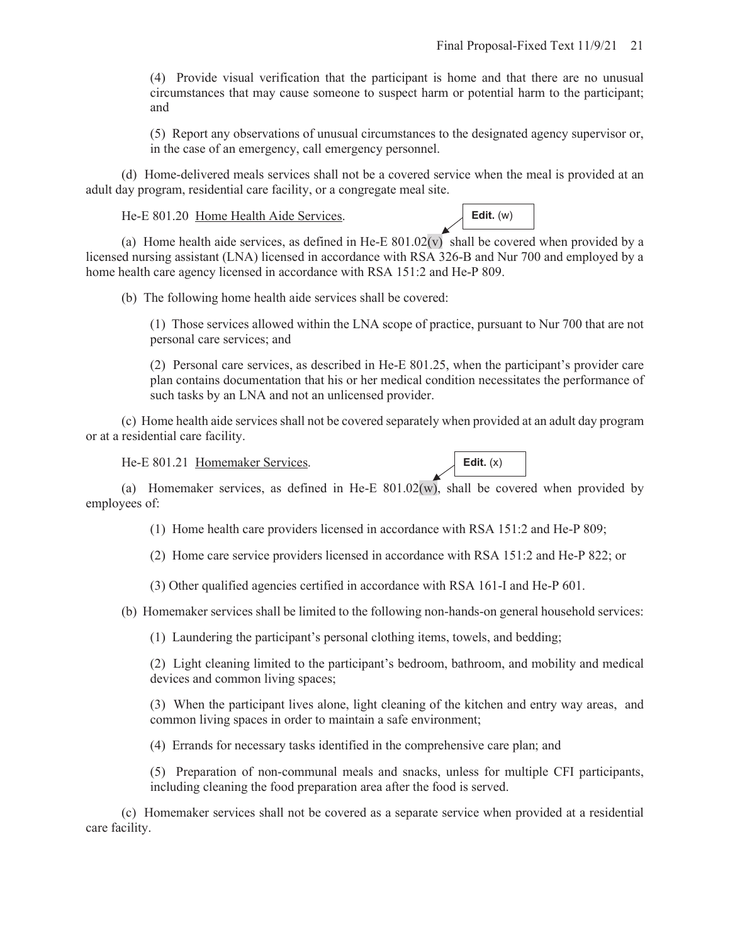(4) Provide visual verification that the participant is home and that there are no unusual circumstances that may cause someone to suspect harm or potential harm to the participant; and

(5) Report any observations of unusual circumstances to the designated agency supervisor or, in the case of an emergency, call emergency personnel.

(d) Home-delivered meals services shall not be a covered service when the meal is provided at an adult day program, residential care facility, or a congregate meal site.

He-E 801.20 Home Health Aide Services.

**Edit.** (w)

(a) Home health aide services, as defined in He-E  $801.02(v)$  shall be covered when provided by a licensed nursing assistant (LNA) licensed in accordance with RSA 326-B and Nur 700 and employed by a home health care agency licensed in accordance with RSA 151:2 and He-P 809.

(b) The following home health aide services shall be covered:

(1) Those services allowed within the LNA scope of practice, pursuant to Nur 700 that are not personal care services; and

(2) Personal care services, as described in He-E 801.25, when the participant's provider care plan contains documentation that his or her medical condition necessitates the performance of such tasks by an LNA and not an unlicensed provider.

(c) Home health aide services shall not be covered separately when provided at an adult day program or at a residential care facility.

He-E 801.21 Homemaker Services.



(a) Homemaker services, as defined in He-E  $801.02(w)$ , shall be covered when provided by employees of:

(1) Home health care providers licensed in accordance with RSA 151:2 and He-P 809;

(2) Home care service providers licensed in accordance with RSA 151:2 and He-P 822; or

(3) Other qualified agencies certified in accordance with RSA 161-I and He-P 601.

(b) Homemaker services shall be limited to the following non-hands-on general household services:

(1) Laundering the participant's personal clothing items, towels, and bedding;

(2) Light cleaning limited to the participant's bedroom, bathroom, and mobility and medical devices and common living spaces;

(3) When the participant lives alone, light cleaning of the kitchen and entry way areas, and common living spaces in order to maintain a safe environment;

(4) Errands for necessary tasks identified in the comprehensive care plan; and

(5) Preparation of non-communal meals and snacks, unless for multiple CFI participants, including cleaning the food preparation area after the food is served.

(c) Homemaker services shall not be covered as a separate service when provided at a residential care facility.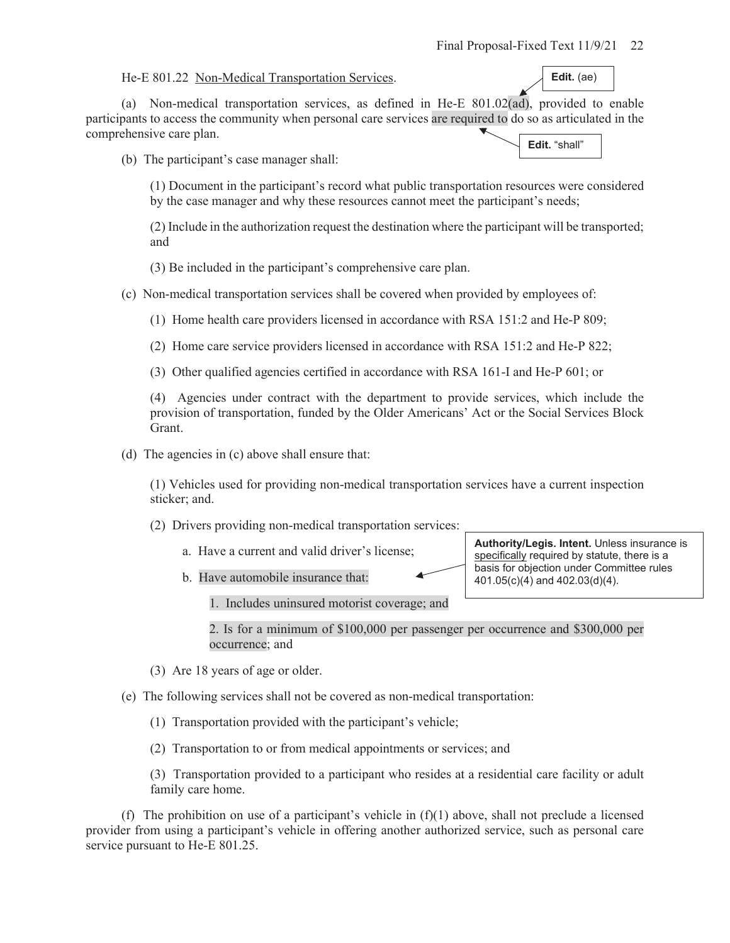He-E 801.22 Non-Medical Transportation Services.

**Edit.** (ae)

(a) Non-medical transportation services, as defined in He-E 801.02(ad), provided to enable participants to access the community when personal care services are required to do so as articulated in the comprehensive care plan. **Edit.** "shall"

(b) The participant's case manager shall:

(1) Document in the participant's record what public transportation resources were considered by the case manager and why these resources cannot meet the participant's needs;

(2) Include in the authorization request the destination where the participant will be transported; and

(3) Be included in the participant's comprehensive care plan.

(c) Non-medical transportation services shall be covered when provided by employees of:

(1) Home health care providers licensed in accordance with RSA 151:2 and He-P 809;

(2) Home care service providers licensed in accordance with RSA 151:2 and He-P 822;

(3) Other qualified agencies certified in accordance with RSA 161-I and He-P 601; or

(4) Agencies under contract with the department to provide services, which include the provision of transportation, funded by the Older Americans' Act or the Social Services Block Grant.

(d) The agencies in (c) above shall ensure that:

(1) Vehicles used for providing non-medical transportation services have a current inspection sticker; and.

(2) Drivers providing non-medical transportation services:

- a. Have a current and valid driver's license;
- b. Have automobile insurance that:

**Authority/Legis. Intent.** Unless insurance is specifically required by statute, there is a basis for objection under Committee rules 401.05(c)(4) and 402.03(d)(4).

1. Includes uninsured motorist coverage; and

2. Is for a minimum of \$100,000 per passenger per occurrence and \$300,000 per occurrence; and

(3) Are 18 years of age or older.

(e) The following services shall not be covered as non-medical transportation:

(1) Transportation provided with the participant's vehicle;

(2) Transportation to or from medical appointments or services; and

(3) Transportation provided to a participant who resides at a residential care facility or adult family care home.

(f) The prohibition on use of a participant's vehicle in  $(f)(1)$  above, shall not preclude a licensed provider from using a participant's vehicle in offering another authorized service, such as personal care service pursuant to He-E 801.25.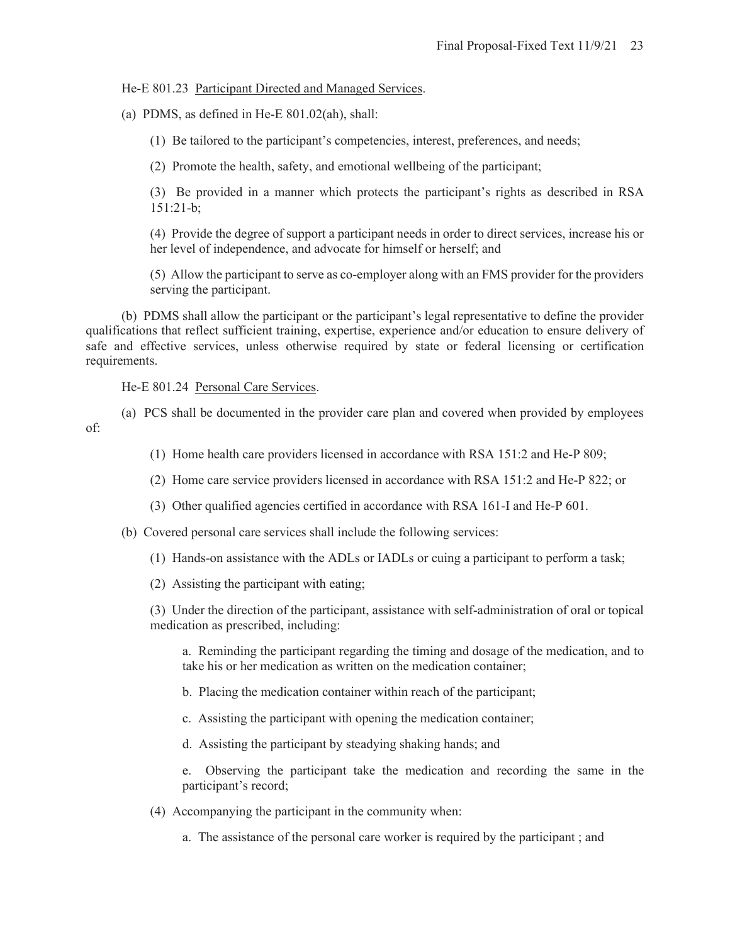### He-E 801.23 Participant Directed and Managed Services.

(a) PDMS, as defined in He-E 801.02(ah), shall:

(1) Be tailored to the participant's competencies, interest, preferences, and needs;

(2) Promote the health, safety, and emotional wellbeing of the participant;

(3) Be provided in a manner which protects the participant's rights as described in RSA 151:21-b;

(4) Provide the degree of support a participant needs in order to direct services, increase his or her level of independence, and advocate for himself or herself; and

(5) Allow the participant to serve as co-employer along with an FMS provider for the providers serving the participant.

(b) PDMS shall allow the participant or the participant's legal representative to define the provider qualifications that reflect sufficient training, expertise, experience and/or education to ensure delivery of safe and effective services, unless otherwise required by state or federal licensing or certification requirements.

He-E 801.24 Personal Care Services.

(a) PCS shall be documented in the provider care plan and covered when provided by employees of:

- (1) Home health care providers licensed in accordance with RSA 151:2 and He-P 809;
- (2) Home care service providers licensed in accordance with RSA 151:2 and He-P 822; or
- (3) Other qualified agencies certified in accordance with RSA 161-I and He-P 601.
- (b) Covered personal care services shall include the following services:
	- (1) Hands-on assistance with the ADLs or IADLs or cuing a participant to perform a task;
	- (2) Assisting the participant with eating;

(3) Under the direction of the participant, assistance with self-administration of oral or topical medication as prescribed, including:

a. Reminding the participant regarding the timing and dosage of the medication, and to take his or her medication as written on the medication container;

- b. Placing the medication container within reach of the participant;
- c. Assisting the participant with opening the medication container;
- d. Assisting the participant by steadying shaking hands; and

e. Observing the participant take the medication and recording the same in the participant's record;

- (4) Accompanying the participant in the community when:
	- a. The assistance of the personal care worker is required by the participant ; and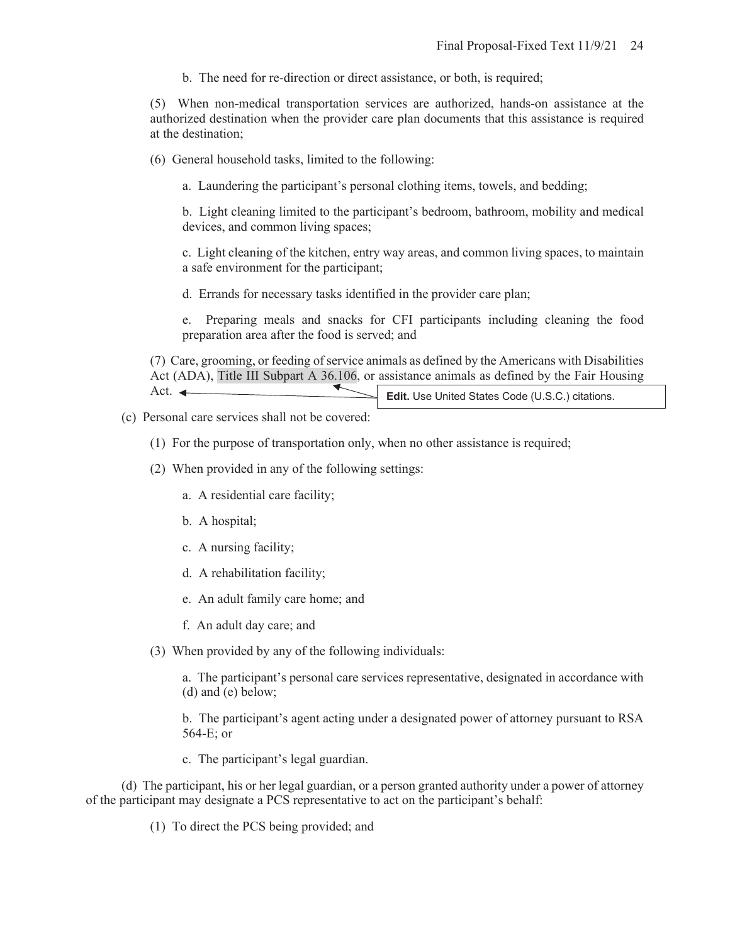b. The need for re-direction or direct assistance, or both, is required;

(5) When non-medical transportation services are authorized, hands-on assistance at the authorized destination when the provider care plan documents that this assistance is required at the destination;

(6) General household tasks, limited to the following:

a. Laundering the participant's personal clothing items, towels, and bedding;

b. Light cleaning limited to the participant's bedroom, bathroom, mobility and medical devices, and common living spaces;

c. Light cleaning of the kitchen, entry way areas, and common living spaces, to maintain a safe environment for the participant;

d. Errands for necessary tasks identified in the provider care plan;

e. Preparing meals and snacks for CFI participants including cleaning the food preparation area after the food is served; and

(7) Care, grooming, or feeding of service animals as defined by the Americans with Disabilities Act (ADA), Title III Subpart A 36.106, or assistance animals as defined by the Fair Housing Act.  $\leftarrow$ 

**Edit.** Use United States Code (U.S.C.) citations.

(c) Personal care services shall not be covered:

- (1) For the purpose of transportation only, when no other assistance is required;
- (2) When provided in any of the following settings:

a. A residential care facility;

- b. A hospital;
- c. A nursing facility;
- d. A rehabilitation facility;
- e. An adult family care home; and
- f. An adult day care; and
- (3) When provided by any of the following individuals:

a. The participant's personal care services representative, designated in accordance with (d) and (e) below;

b. The participant's agent acting under a designated power of attorney pursuant to RSA 564-E; or

c. The participant's legal guardian.

(d) The participant, his or her legal guardian, or a person granted authority under a power of attorney of the participant may designate a PCS representative to act on the participant's behalf:

(1) To direct the PCS being provided; and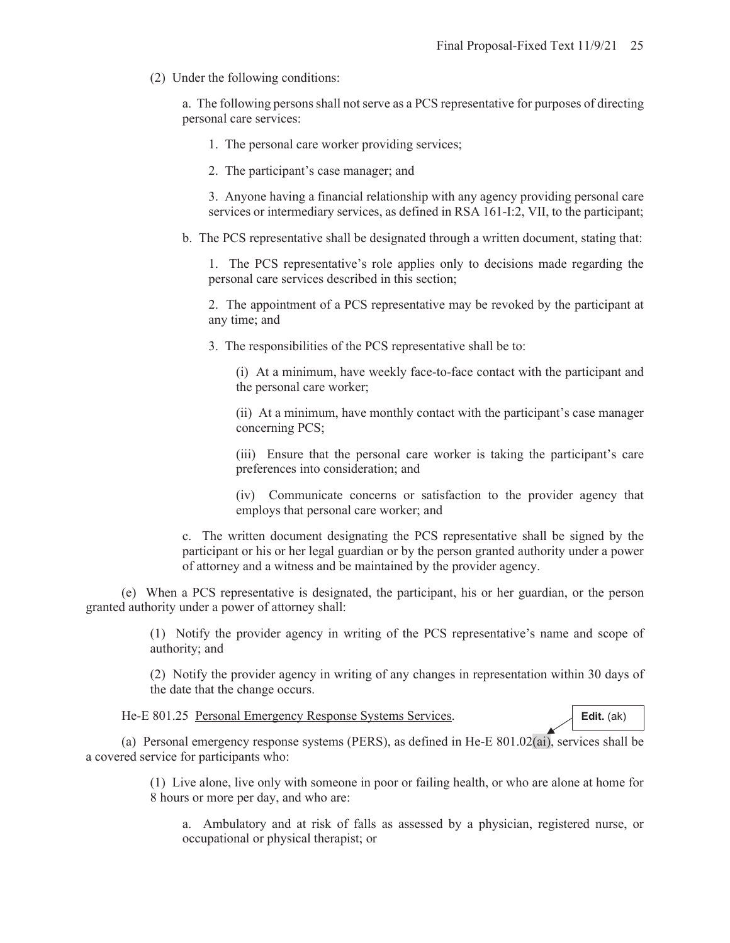(2) Under the following conditions:

a. The following persons shall not serve as a PCS representative for purposes of directing personal care services:

- 1. The personal care worker providing services;
- 2. The participant's case manager; and

3. Anyone having a financial relationship with any agency providing personal care services or intermediary services, as defined in RSA 161-I:2, VII, to the participant;

b. The PCS representative shall be designated through a written document, stating that:

1. The PCS representative's role applies only to decisions made regarding the personal care services described in this section;

2. The appointment of a PCS representative may be revoked by the participant at any time; and

3. The responsibilities of the PCS representative shall be to:

(i) At a minimum, have weekly face-to-face contact with the participant and the personal care worker;

(ii) At a minimum, have monthly contact with the participant's case manager concerning PCS;

(iii) Ensure that the personal care worker is taking the participant's care preferences into consideration; and

(iv) Communicate concerns or satisfaction to the provider agency that employs that personal care worker; and

c. The written document designating the PCS representative shall be signed by the participant or his or her legal guardian or by the person granted authority under a power of attorney and a witness and be maintained by the provider agency.

(e) When a PCS representative is designated, the participant, his or her guardian, or the person granted authority under a power of attorney shall:

> (1) Notify the provider agency in writing of the PCS representative's name and scope of authority; and

> (2) Notify the provider agency in writing of any changes in representation within 30 days of the date that the change occurs.

He-E 801.25 Personal Emergency Response Systems Services.

(a) Personal emergency response systems (PERS), as defined in He-E 801.02(ai), services shall be a covered service for participants who:

> (1) Live alone, live only with someone in poor or failing health, or who are alone at home for 8 hours or more per day, and who are:

a. Ambulatory and at risk of falls as assessed by a physician, registered nurse, or occupational or physical therapist; or

**Edit.** (ak)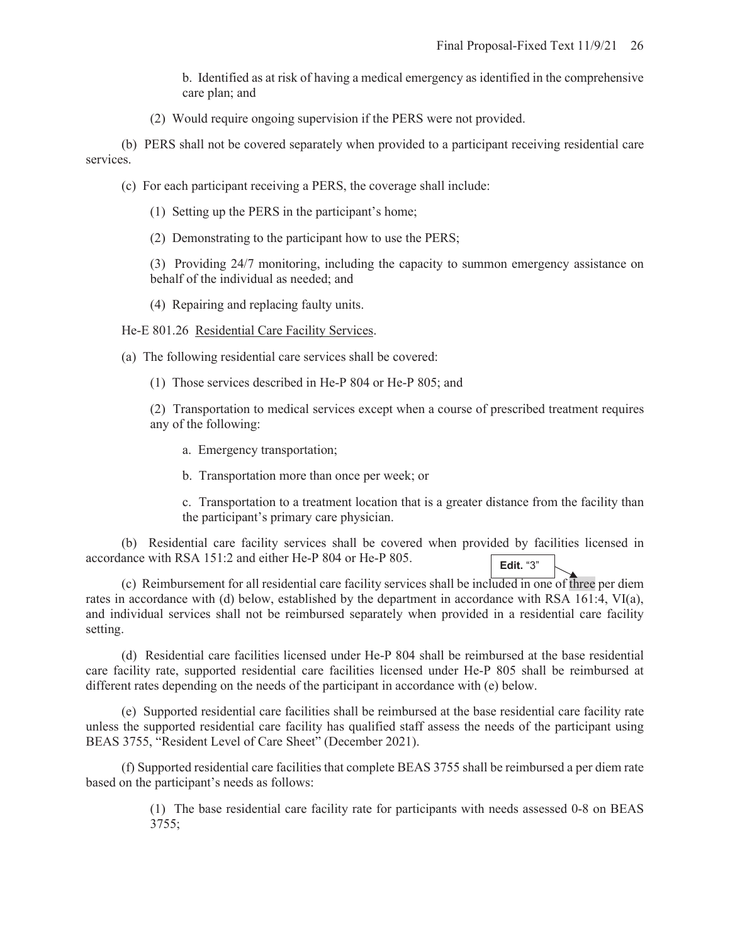b. Identified as at risk of having a medical emergency as identified in the comprehensive care plan; and

(2) Would require ongoing supervision if the PERS were not provided.

(b) PERS shall not be covered separately when provided to a participant receiving residential care services.

- (c) For each participant receiving a PERS, the coverage shall include:
	- (1) Setting up the PERS in the participant's home;
	- (2) Demonstrating to the participant how to use the PERS;

(3) Providing 24/7 monitoring, including the capacity to summon emergency assistance on behalf of the individual as needed; and

(4) Repairing and replacing faulty units.

He-E 801.26 Residential Care Facility Services.

(a) The following residential care services shall be covered:

- (1) Those services described in He-P 804 or He-P 805; and
- (2) Transportation to medical services except when a course of prescribed treatment requires any of the following:
	- a. Emergency transportation;
	- b. Transportation more than once per week; or

c. Transportation to a treatment location that is a greater distance from the facility than the participant's primary care physician.

(b) Residential care facility services shall be covered when provided by facilities licensed in accordance with RSA 151:2 and either He-P 804 or He-P 805. **Edit.** "3"

(c) Reimbursement for all residential care facility services shall be included in one of three per diem rates in accordance with (d) below, established by the department in accordance with RSA 161:4, VI(a), and individual services shall not be reimbursed separately when provided in a residential care facility setting.

(d) Residential care facilities licensed under He-P 804 shall be reimbursed at the base residential care facility rate, supported residential care facilities licensed under He-P 805 shall be reimbursed at different rates depending on the needs of the participant in accordance with (e) below.

(e) Supported residential care facilities shall be reimbursed at the base residential care facility rate unless the supported residential care facility has qualified staff assess the needs of the participant using BEAS 3755, "Resident Level of Care Sheet" (December 2021).

(f) Supported residential care facilities that complete BEAS 3755 shall be reimbursed a per diem rate based on the participant's needs as follows:

> (1) The base residential care facility rate for participants with needs assessed 0-8 on BEAS  $3755;$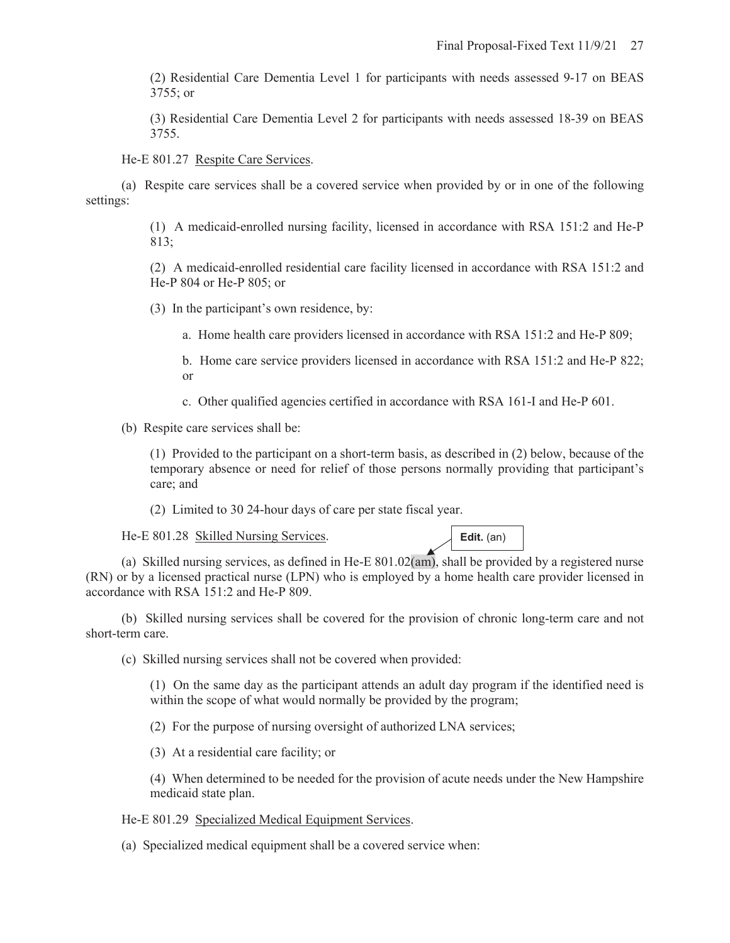(2) Residential Care Dementia Level 1 for participants with needs assessed 9-17 on BEAS 3755; or

(3) Residential Care Dementia Level 2 for participants with needs assessed 18-39 on BEAS 3755.

He-E 801.27 Respite Care Services.

(a) Respite care services shall be a covered service when provided by or in one of the following settings:

> (1) A medicaid-enrolled nursing facility, licensed in accordance with RSA 151:2 and He-P 813;

> (2) A medicaid-enrolled residential care facility licensed in accordance with RSA 151:2 and He-P 804 or He-P 805; or

(3) In the participant's own residence, by:

a. Home health care providers licensed in accordance with RSA 151:2 and He-P 809;

b. Home care service providers licensed in accordance with RSA 151:2 and He-P 822; or

c. Other qualified agencies certified in accordance with RSA 161-I and He-P 601.

(b) Respite care services shall be:

(1) Provided to the participant on a short-term basis, as described in (2) below, because of the temporary absence or need for relief of those persons normally providing that participant's care; and

(2) Limited to 30 24-hour days of care per state fiscal year.

He-E 801.28 Skilled Nursing Services.

**Edit.** (an)

(a) Skilled nursing services, as defined in He-E 801.02(am), shall be provided by a registered nurse (RN) or by a licensed practical nurse (LPN) who is employed by a home health care provider licensed in accordance with RSA 151:2 and He-P 809.

(b) Skilled nursing services shall be covered for the provision of chronic long-term care and not short-term care.

(c) Skilled nursing services shall not be covered when provided:

(1) On the same day as the participant attends an adult day program if the identified need is within the scope of what would normally be provided by the program;

(2) For the purpose of nursing oversight of authorized LNA services;

(3) At a residential care facility; or

(4) When determined to be needed for the provision of acute needs under the New Hampshire medicaid state plan.

He-E 801.29 Specialized Medical Equipment Services.

(a) Specialized medical equipment shall be a covered service when: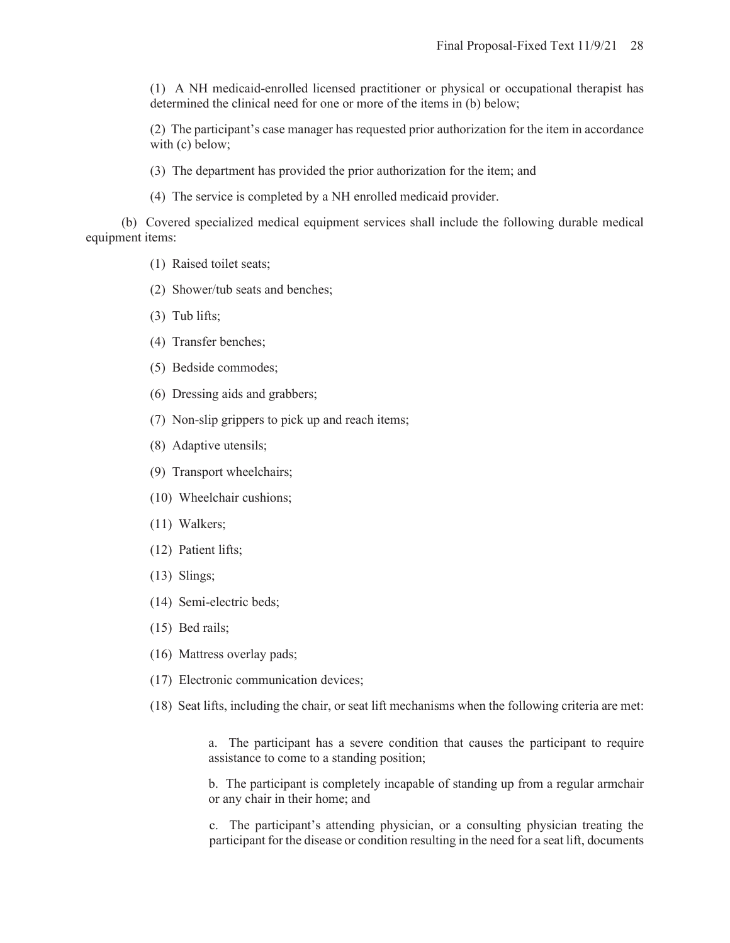(1) A NH medicaid-enrolled licensed practitioner or physical or occupational therapist has determined the clinical need for one or more of the items in (b) below;

(2) The participant's case manager has requested prior authorization for the item in accordance with (c) below;

(3) The department has provided the prior authorization for the item; and

(4) The service is completed by a NH enrolled medicaid provider.

(b) Covered specialized medical equipment services shall include the following durable medical equipment items:

- (1) Raised toilet seats;
- (2) Shower/tub seats and benches;
- (3) Tub lifts;
- (4) Transfer benches;
- (5) Bedside commodes;
- (6) Dressing aids and grabbers;
- (7) Non-slip grippers to pick up and reach items;
- (8) Adaptive utensils;
- (9) Transport wheelchairs;
- (10) Wheelchair cushions;
- (11) Walkers;
- (12) Patient lifts;
- (13) Slings;
- (14) Semi-electric beds;
- (15) Bed rails;
- (16) Mattress overlay pads;
- (17) Electronic communication devices;
- (18) Seat lifts, including the chair, or seat lift mechanisms when the following criteria are met:

a. The participant has a severe condition that causes the participant to require assistance to come to a standing position;

b. The participant is completely incapable of standing up from a regular armchair or any chair in their home; and

c. The participant's attending physician, or a consulting physician treating the participant for the disease or condition resulting in the need for a seat lift, documents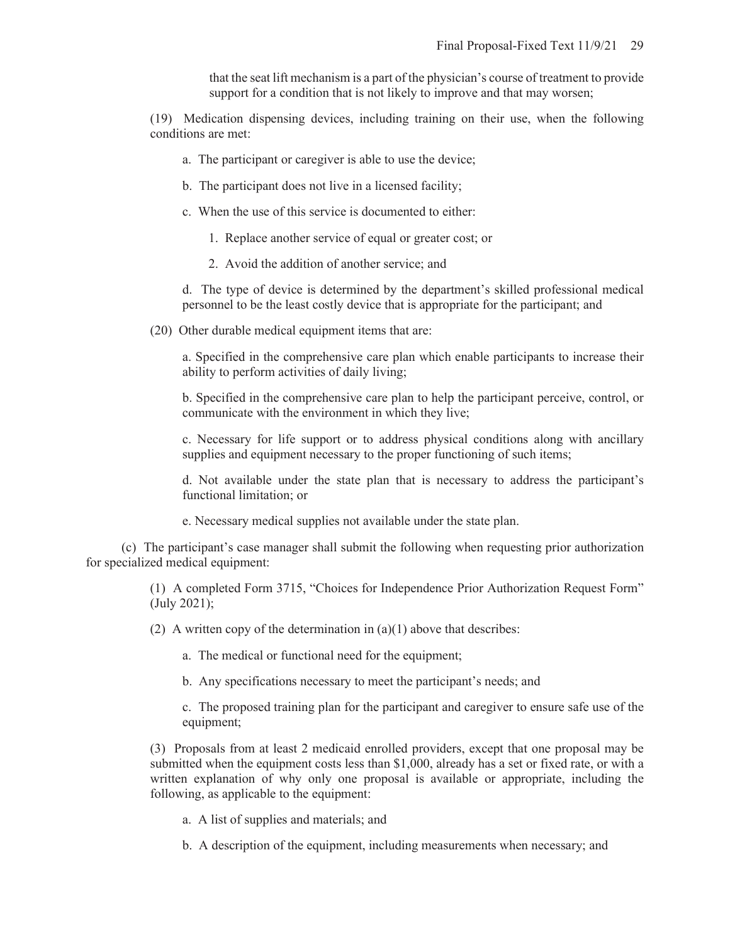that the seat lift mechanism is a part of the physician's course of treatment to provide support for a condition that is not likely to improve and that may worsen;

(19) Medication dispensing devices, including training on their use, when the following conditions are met:

- a. The participant or caregiver is able to use the device;
- b. The participant does not live in a licensed facility;
- c. When the use of this service is documented to either:
	- 1. Replace another service of equal or greater cost; or
	- 2. Avoid the addition of another service; and

d. The type of device is determined by the department's skilled professional medical personnel to be the least costly device that is appropriate for the participant; and

(20) Other durable medical equipment items that are:

a. Specified in the comprehensive care plan which enable participants to increase their ability to perform activities of daily living;

b. Specified in the comprehensive care plan to help the participant perceive, control, or communicate with the environment in which they live;

c. Necessary for life support or to address physical conditions along with ancillary supplies and equipment necessary to the proper functioning of such items;

d. Not available under the state plan that is necessary to address the participant's functional limitation; or

e. Necessary medical supplies not available under the state plan.

(c) The participant's case manager shall submit the following when requesting prior authorization for specialized medical equipment:

> (1) A completed Form 3715, "Choices for Independence Prior Authorization Request Form" (July 2021);

(2) A written copy of the determination in  $(a)(1)$  above that describes:

a. The medical or functional need for the equipment;

b. Any specifications necessary to meet the participant's needs; and

c. The proposed training plan for the participant and caregiver to ensure safe use of the equipment;

(3) Proposals from at least 2 medicaid enrolled providers, except that one proposal may be submitted when the equipment costs less than \$1,000, already has a set or fixed rate, or with a written explanation of why only one proposal is available or appropriate, including the following, as applicable to the equipment:

a. A list of supplies and materials; and

b. A description of the equipment, including measurements when necessary; and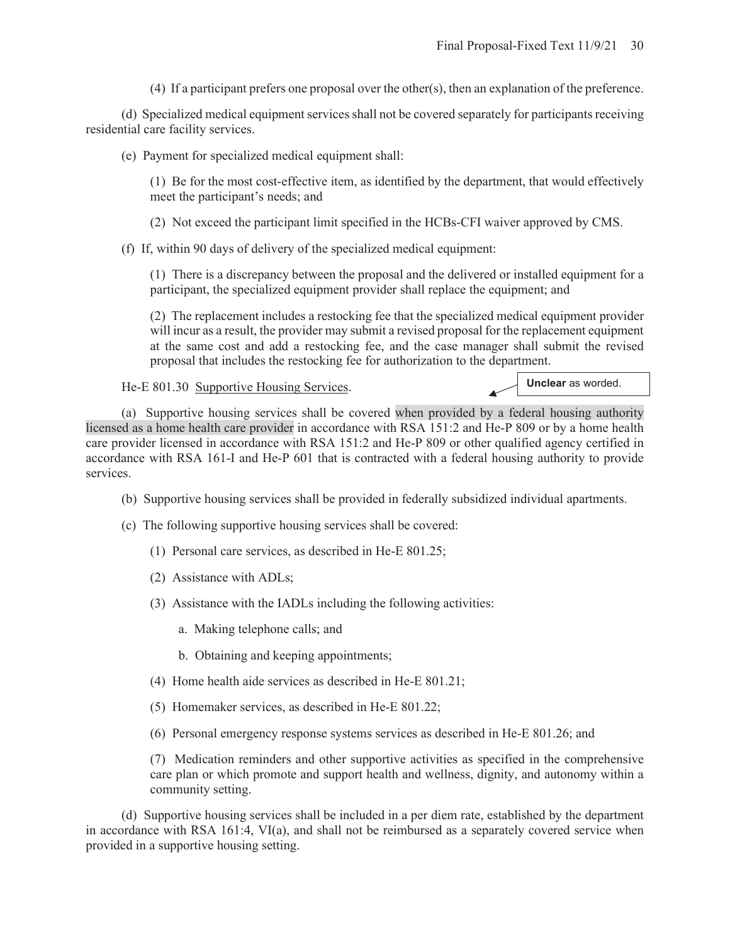(4) If a participant prefers one proposal over the other(s), then an explanation of the preference.

(d) Specialized medical equipment services shall not be covered separately for participants receiving residential care facility services.

(e) Payment for specialized medical equipment shall:

(1) Be for the most cost-effective item, as identified by the department, that would effectively meet the participant's needs; and

(2) Not exceed the participant limit specified in the HCBs-CFI waiver approved by CMS.

(f) If, within 90 days of delivery of the specialized medical equipment:

(1) There is a discrepancy between the proposal and the delivered or installed equipment for a participant, the specialized equipment provider shall replace the equipment; and

(2) The replacement includes a restocking fee that the specialized medical equipment provider will incur as a result, the provider may submit a revised proposal for the replacement equipment at the same cost and add a restocking fee, and the case manager shall submit the revised proposal that includes the restocking fee for authorization to the department.

He-E 801.30 Supportive Housing Services.

**Unclear** as worded.

(a) Supportive housing services shall be covered when provided by a federal housing authority licensed as a home health care provider in accordance with RSA 151:2 and He-P 809 or by a home health care provider licensed in accordance with RSA 151:2 and He-P 809 or other qualified agency certified in accordance with RSA 161-I and He-P 601 that is contracted with a federal housing authority to provide services.

- (b) Supportive housing services shall be provided in federally subsidized individual apartments.
- (c) The following supportive housing services shall be covered:
	- (1) Personal care services, as described in He-E 801.25;
	- (2) Assistance with ADLs;
	- (3) Assistance with the IADLs including the following activities:
		- a. Making telephone calls; and
		- b. Obtaining and keeping appointments;
	- (4) Home health aide services as described in He-E 801.21;
	- (5) Homemaker services, as described in He-E 801.22;
	- (6) Personal emergency response systems services as described in He-E 801.26; and

(7) Medication reminders and other supportive activities as specified in the comprehensive care plan or which promote and support health and wellness, dignity, and autonomy within a community setting.

(d) Supportive housing services shall be included in a per diem rate, established by the department in accordance with RSA 161:4, VI(a), and shall not be reimbursed as a separately covered service when provided in a supportive housing setting.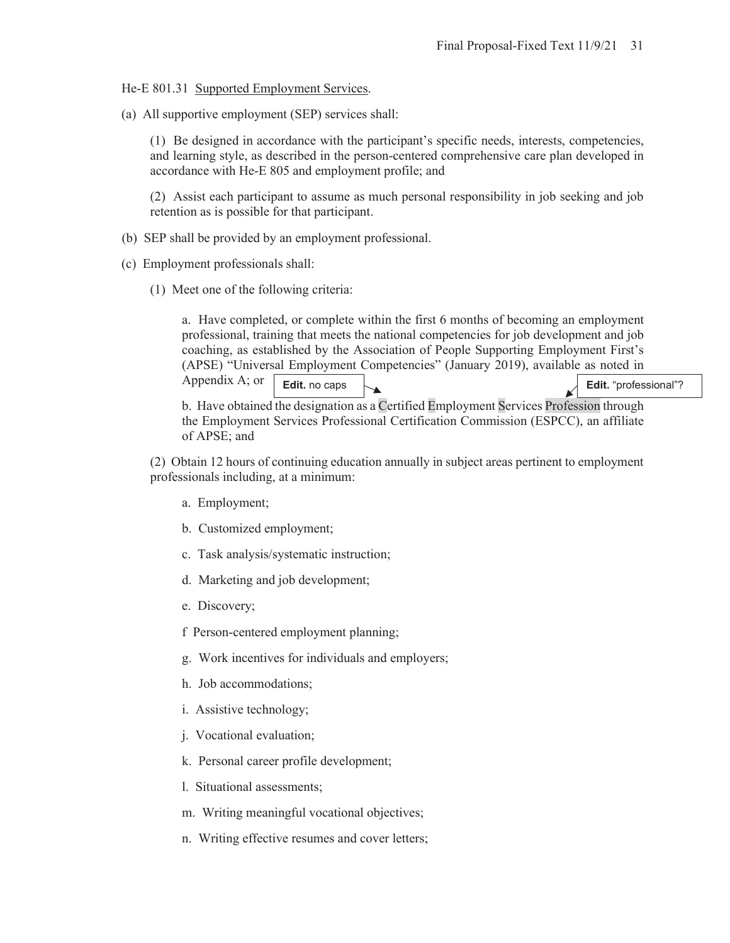He-E 801.31 Supported Employment Services.

(a) All supportive employment (SEP) services shall:

(1) Be designed in accordance with the participant's specific needs, interests, competencies, and learning style, as described in the person-centered comprehensive care plan developed in accordance with He-E 805 and employment profile; and

(2) Assist each participant to assume as much personal responsibility in job seeking and job retention as is possible for that participant.

- (b) SEP shall be provided by an employment professional.
- (c) Employment professionals shall:
	- (1) Meet one of the following criteria:

a. Have completed, or complete within the first 6 months of becoming an employment professional, training that meets the national competencies for job development and job coaching, as established by the Association of People Supporting Employment First's (APSE) "Universal Employment Competencies" (January 2019), available as noted in

Appendix A; or

**Edit.** no caps **Edit. Edit. Edit. Edit. Edit. Edit. Edit. Edit. Edit. Edit. Edit. Edit. Edit. Edit. Edit. Edit. Edit. Edit. Edit. Edit. Edit. Edit. Edit. Edit. Edit. Edit.** 

b. Have obtained the designation as a Certified Employment Services Profession through the Employment Services Professional Certification Commission (ESPCC), an affiliate of APSE; and

(2) Obtain 12 hours of continuing education annually in subject areas pertinent to employment professionals including, at a minimum:

- a. Employment;
- b. Customized employment;
- c. Task analysis/systematic instruction;
- d. Marketing and job development;
- e. Discovery;
- f Person-centered employment planning;
- g. Work incentives for individuals and employers;
- h. Job accommodations;
- i. Assistive technology;
- j. Vocational evaluation;
- k. Personal career profile development;
- l. Situational assessments;
- m. Writing meaningful vocational objectives;
- n. Writing effective resumes and cover letters;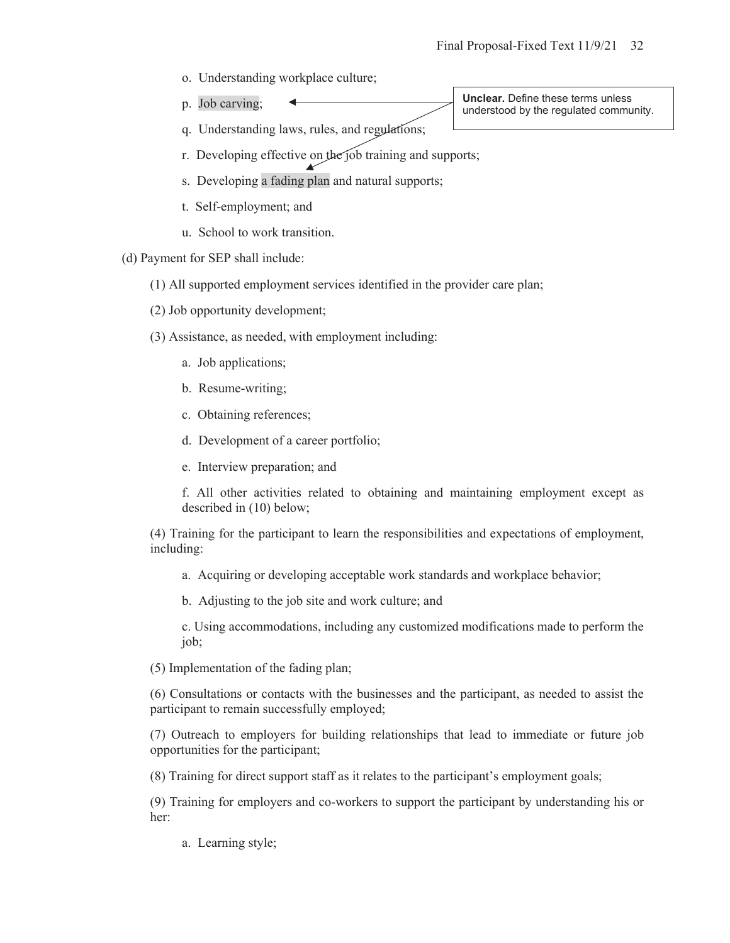o. Understanding workplace culture;

p. Job carving;

**Unclear.** Define these terms unless understood by the regulated community.

- q. Understanding laws, rules, and regulations;
- r. Developing effective on the job training and supports;
- s. Developing a fading plan and natural supports;
- t. Self-employment; and
- u. School to work transition.

(d) Payment for SEP shall include:

(1) All supported employment services identified in the provider care plan;

- (2) Job opportunity development;
- (3) Assistance, as needed, with employment including:
	- a. Job applications;
	- b. Resume-writing;
	- c. Obtaining references;
	- d. Development of a career portfolio;
	- e. Interview preparation; and

f. All other activities related to obtaining and maintaining employment except as described in (10) below;

(4) Training for the participant to learn the responsibilities and expectations of employment, including:

a. Acquiring or developing acceptable work standards and workplace behavior;

b. Adjusting to the job site and work culture; and

c. Using accommodations, including any customized modifications made to perform the job;

(5) Implementation of the fading plan;

(6) Consultations or contacts with the businesses and the participant, as needed to assist the participant to remain successfully employed;

(7) Outreach to employers for building relationships that lead to immediate or future job opportunities for the participant;

(8) Training for direct support staff as it relates to the participant's employment goals;

(9) Training for employers and co-workers to support the participant by understanding his or her:

a. Learning style;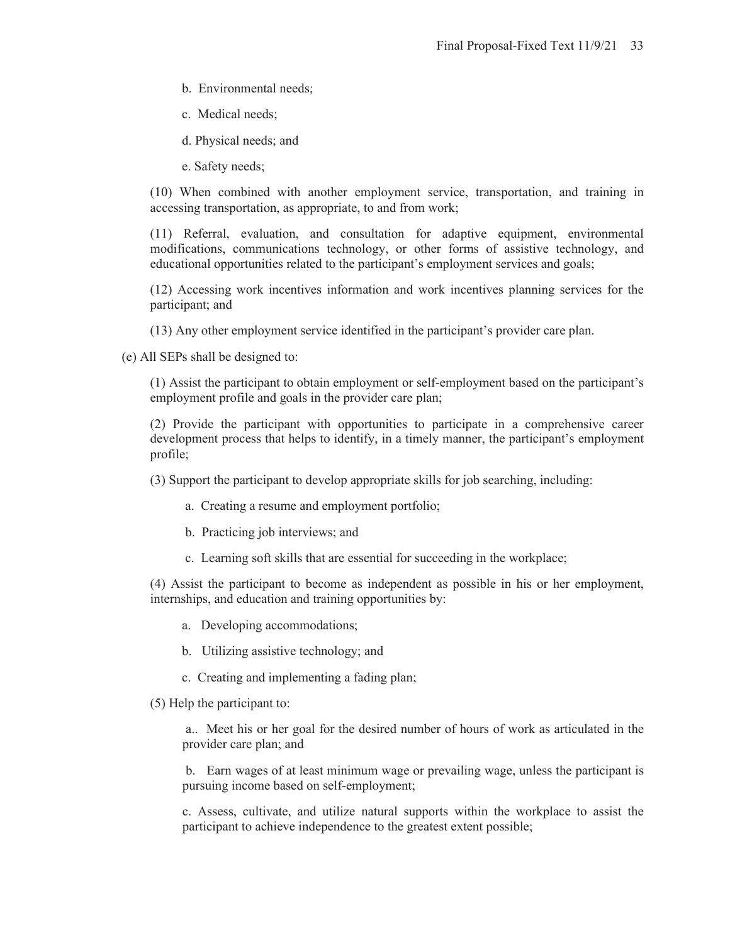- b. Environmental needs;
- c. Medical needs;
- d. Physical needs; and
- e. Safety needs;

(10) When combined with another employment service, transportation, and training in accessing transportation, as appropriate, to and from work;

(11) Referral, evaluation, and consultation for adaptive equipment, environmental modifications, communications technology, or other forms of assistive technology, and educational opportunities related to the participant's employment services and goals;

(12) Accessing work incentives information and work incentives planning services for the participant; and

(13) Any other employment service identified in the participant's provider care plan.

(e) All SEPs shall be designed to:

(1) Assist the participant to obtain employment or self-employment based on the participant's employment profile and goals in the provider care plan;

(2) Provide the participant with opportunities to participate in a comprehensive career development process that helps to identify, in a timely manner, the participant's employment profile;

(3) Support the participant to develop appropriate skills for job searching, including:

- a. Creating a resume and employment portfolio;
- b. Practicing job interviews; and
- c. Learning soft skills that are essential for succeeding in the workplace;

(4) Assist the participant to become as independent as possible in his or her employment, internships, and education and training opportunities by:

- a. Developing accommodations;
- b. Utilizing assistive technology; and
- c. Creating and implementing a fading plan;
- (5) Help the participant to:

 a.. Meet his or her goal for the desired number of hours of work as articulated in the provider care plan; and

 b. Earn wages of at least minimum wage or prevailing wage, unless the participant is pursuing income based on self-employment;

c. Assess, cultivate, and utilize natural supports within the workplace to assist the participant to achieve independence to the greatest extent possible;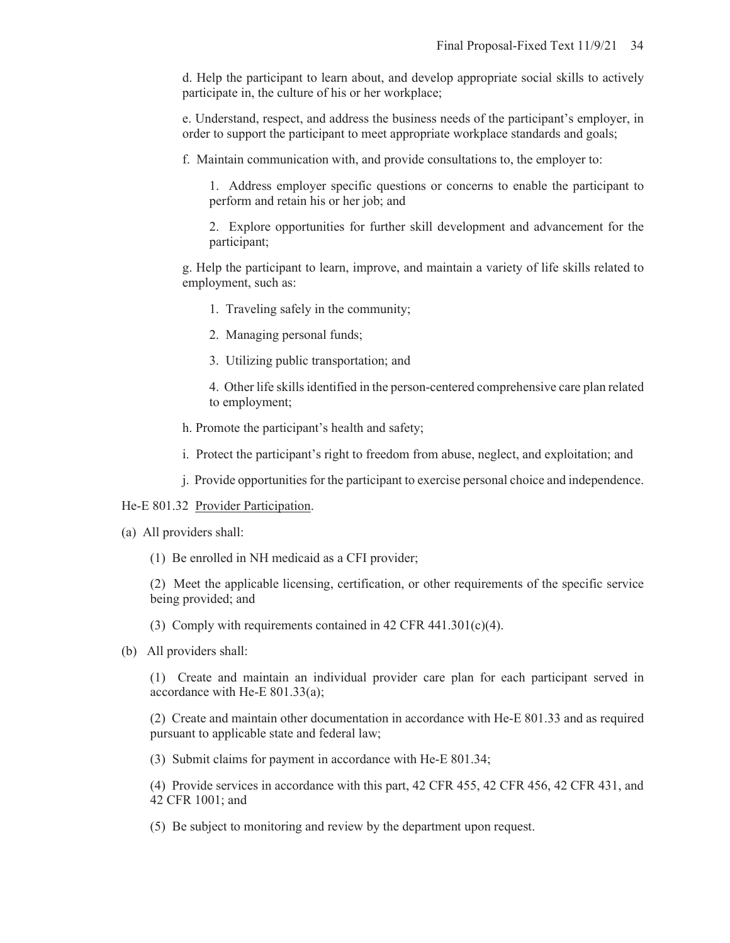d. Help the participant to learn about, and develop appropriate social skills to actively participate in, the culture of his or her workplace;

e. Understand, respect, and address the business needs of the participant's employer, in order to support the participant to meet appropriate workplace standards and goals;

f. Maintain communication with, and provide consultations to, the employer to:

1. Address employer specific questions or concerns to enable the participant to perform and retain his or her job; and

2. Explore opportunities for further skill development and advancement for the participant;

g. Help the participant to learn, improve, and maintain a variety of life skills related to employment, such as:

1. Traveling safely in the community;

2. Managing personal funds;

3. Utilizing public transportation; and

4. Other life skills identified in the person-centered comprehensive care plan related to employment;

h. Promote the participant's health and safety;

i. Protect the participant's right to freedom from abuse, neglect, and exploitation; and

j. Provide opportunities for the participant to exercise personal choice and independence.

#### He-E 801.32 Provider Participation.

- (a) All providers shall:
	- (1) Be enrolled in NH medicaid as a CFI provider;

(2) Meet the applicable licensing, certification, or other requirements of the specific service being provided; and

(3) Comply with requirements contained in 42 CFR 441.301(c)(4).

(b) All providers shall:

(1) Create and maintain an individual provider care plan for each participant served in accordance with He-E 801.33(a);

(2) Create and maintain other documentation in accordance with He-E 801.33 and as required pursuant to applicable state and federal law;

(3) Submit claims for payment in accordance with He-E 801.34;

(4) Provide services in accordance with this part, 42 CFR 455, 42 CFR 456, 42 CFR 431, and 42 CFR 1001; and

(5) Be subject to monitoring and review by the department upon request.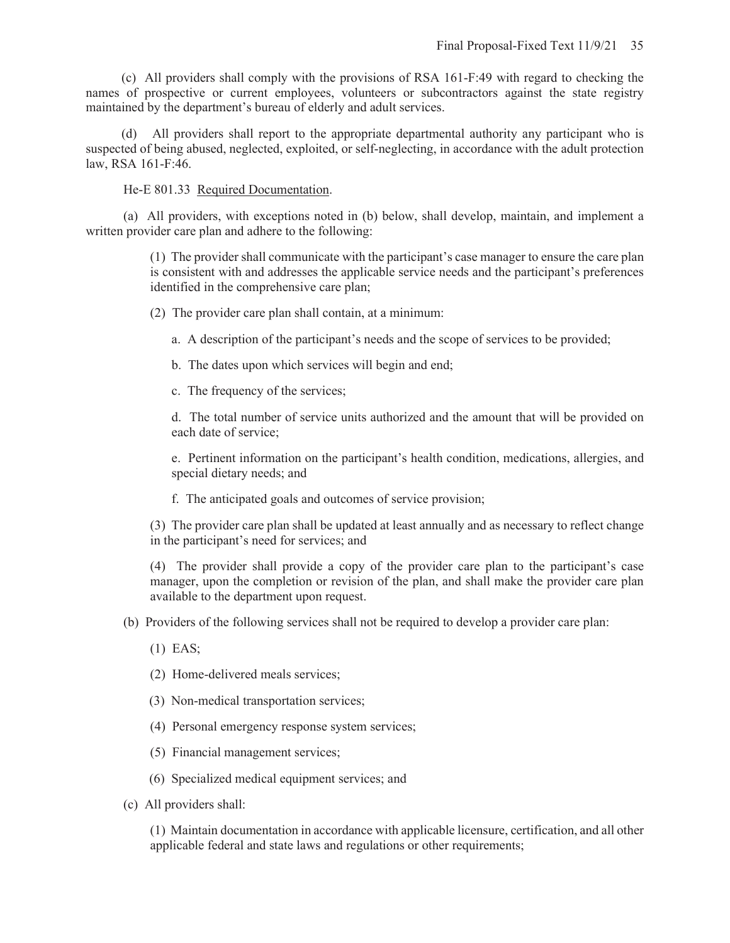(c) All providers shall comply with the provisions of RSA 161-F:49 with regard to checking the names of prospective or current employees, volunteers or subcontractors against the state registry maintained by the department's bureau of elderly and adult services.

(d) All providers shall report to the appropriate departmental authority any participant who is suspected of being abused, neglected, exploited, or self-neglecting, in accordance with the adult protection law, RSA 161-F:46.

He-E 801.33 Required Documentation.

(a) All providers, with exceptions noted in (b) below, shall develop, maintain, and implement a written provider care plan and adhere to the following:

> (1) The provider shall communicate with the participant's case manager to ensure the care plan is consistent with and addresses the applicable service needs and the participant's preferences identified in the comprehensive care plan;

(2) The provider care plan shall contain, at a minimum:

a. A description of the participant's needs and the scope of services to be provided;

b. The dates upon which services will begin and end;

c. The frequency of the services;

d. The total number of service units authorized and the amount that will be provided on each date of service;

e. Pertinent information on the participant's health condition, medications, allergies, and special dietary needs; and

f. The anticipated goals and outcomes of service provision;

(3) The provider care plan shall be updated at least annually and as necessary to reflect change in the participant's need for services; and

(4) The provider shall provide a copy of the provider care plan to the participant's case manager, upon the completion or revision of the plan, and shall make the provider care plan available to the department upon request.

(b) Providers of the following services shall not be required to develop a provider care plan:

(1) EAS;

(2) Home-delivered meals services;

(3) Non-medical transportation services;

(4) Personal emergency response system services;

(5) Financial management services;

(6) Specialized medical equipment services; and

(c) All providers shall:

(1) Maintain documentation in accordance with applicable licensure, certification, and all other applicable federal and state laws and regulations or other requirements;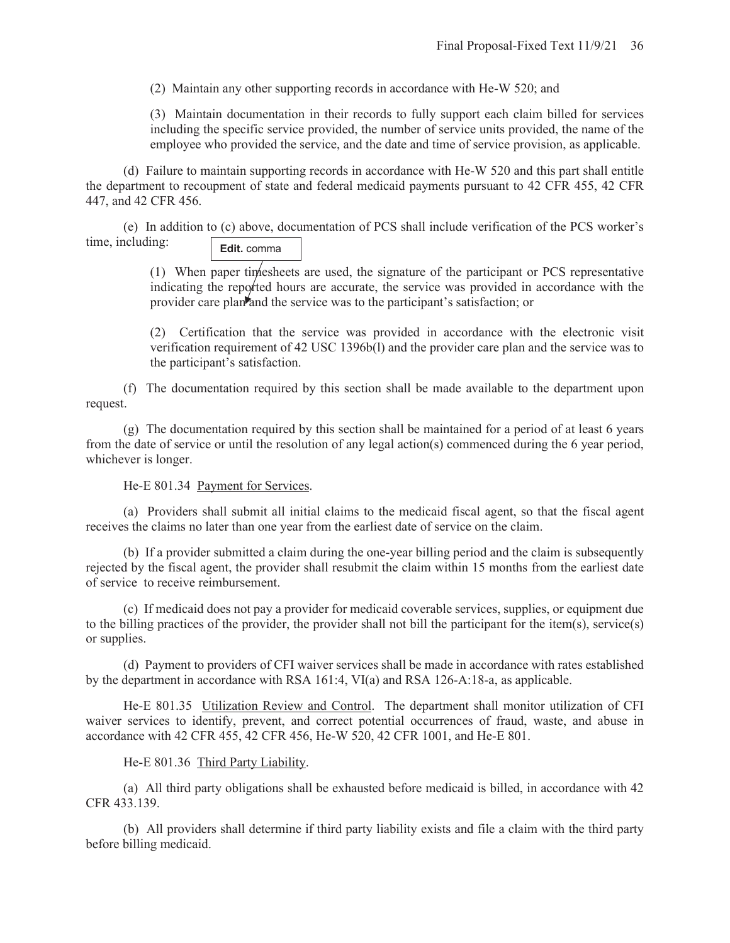(2) Maintain any other supporting records in accordance with He-W 520; and

(3) Maintain documentation in their records to fully support each claim billed for services including the specific service provided, the number of service units provided, the name of the employee who provided the service, and the date and time of service provision, as applicable.

(d) Failure to maintain supporting records in accordance with He-W 520 and this part shall entitle the department to recoupment of state and federal medicaid payments pursuant to 42 CFR 455, 42 CFR 447, and 42 CFR 456.

(e) In addition to (c) above, documentation of PCS shall include verification of the PCS worker's time, including: **Edit.** comma

> (1) When paper timesheets are used, the signature of the participant or PCS representative indicating the reported hours are accurate, the service was provided in accordance with the provider care plan and the service was to the participant's satisfaction; or

> (2) Certification that the service was provided in accordance with the electronic visit verification requirement of 42 USC 1396b(l) and the provider care plan and the service was to the participant's satisfaction.

(f) The documentation required by this section shall be made available to the department upon request.

(g) The documentation required by this section shall be maintained for a period of at least 6 years from the date of service or until the resolution of any legal action(s) commenced during the 6 year period, whichever is longer.

He-E 801.34 Payment for Services.

(a) Providers shall submit all initial claims to the medicaid fiscal agent, so that the fiscal agent receives the claims no later than one year from the earliest date of service on the claim.

(b) If a provider submitted a claim during the one-year billing period and the claim is subsequently rejected by the fiscal agent, the provider shall resubmit the claim within 15 months from the earliest date of service to receive reimbursement.

(c) If medicaid does not pay a provider for medicaid coverable services, supplies, or equipment due to the billing practices of the provider, the provider shall not bill the participant for the item(s), service(s) or supplies.

(d) Payment to providers of CFI waiver services shall be made in accordance with rates established by the department in accordance with RSA 161:4, VI(a) and RSA 126-A:18-a, as applicable.

He-E 801.35 Utilization Review and Control. The department shall monitor utilization of CFI waiver services to identify, prevent, and correct potential occurrences of fraud, waste, and abuse in accordance with 42 CFR 455, 42 CFR 456, He-W 520, 42 CFR 1001, and He-E 801.

He-E 801.36 Third Party Liability.

(a) All third party obligations shall be exhausted before medicaid is billed, in accordance with 42 CFR 433.139.

(b) All providers shall determine if third party liability exists and file a claim with the third party before billing medicaid.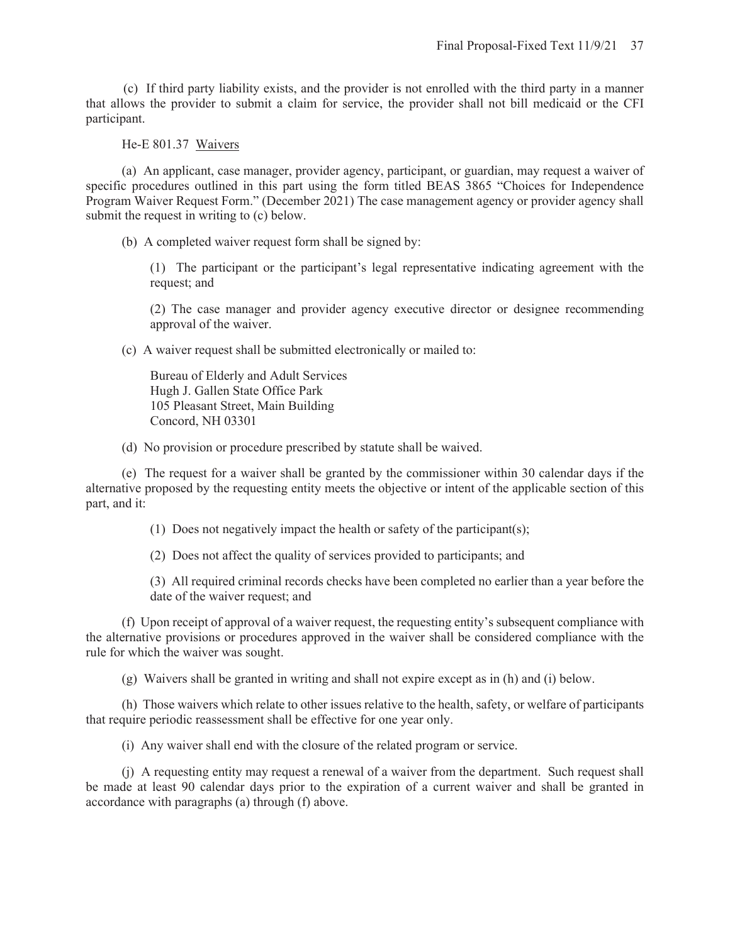(c) If third party liability exists, and the provider is not enrolled with the third party in a manner that allows the provider to submit a claim for service, the provider shall not bill medicaid or the CFI participant.

## He-E 801.37 Waivers

 (a) An applicant, case manager, provider agency, participant, or guardian, may request a waiver of specific procedures outlined in this part using the form titled BEAS 3865 "Choices for Independence Program Waiver Request Form." (December 2021) The case management agency or provider agency shall submit the request in writing to (c) below.

- (b) A completed waiver request form shall be signed by:
	- (1) The participant or the participant's legal representative indicating agreement with the request; and

(2) The case manager and provider agency executive director or designee recommending approval of the waiver.

(c) A waiver request shall be submitted electronically or mailed to:

Bureau of Elderly and Adult Services Hugh J. Gallen State Office Park 105 Pleasant Street, Main Building Concord, NH 03301

(d) No provision or procedure prescribed by statute shall be waived.

 (e) The request for a waiver shall be granted by the commissioner within 30 calendar days if the alternative proposed by the requesting entity meets the objective or intent of the applicable section of this part, and it:

(1) Does not negatively impact the health or safety of the participant(s);

(2) Does not affect the quality of services provided to participants; and

(3) All required criminal records checks have been completed no earlier than a year before the date of the waiver request; and

 (f) Upon receipt of approval of a waiver request, the requesting entity's subsequent compliance with the alternative provisions or procedures approved in the waiver shall be considered compliance with the rule for which the waiver was sought.

(g) Waivers shall be granted in writing and shall not expire except as in (h) and (i) below.

 (h) Those waivers which relate to other issues relative to the health, safety, or welfare of participants that require periodic reassessment shall be effective for one year only.

(i) Any waiver shall end with the closure of the related program or service.

 (j) A requesting entity may request a renewal of a waiver from the department. Such request shall be made at least 90 calendar days prior to the expiration of a current waiver and shall be granted in accordance with paragraphs (a) through (f) above.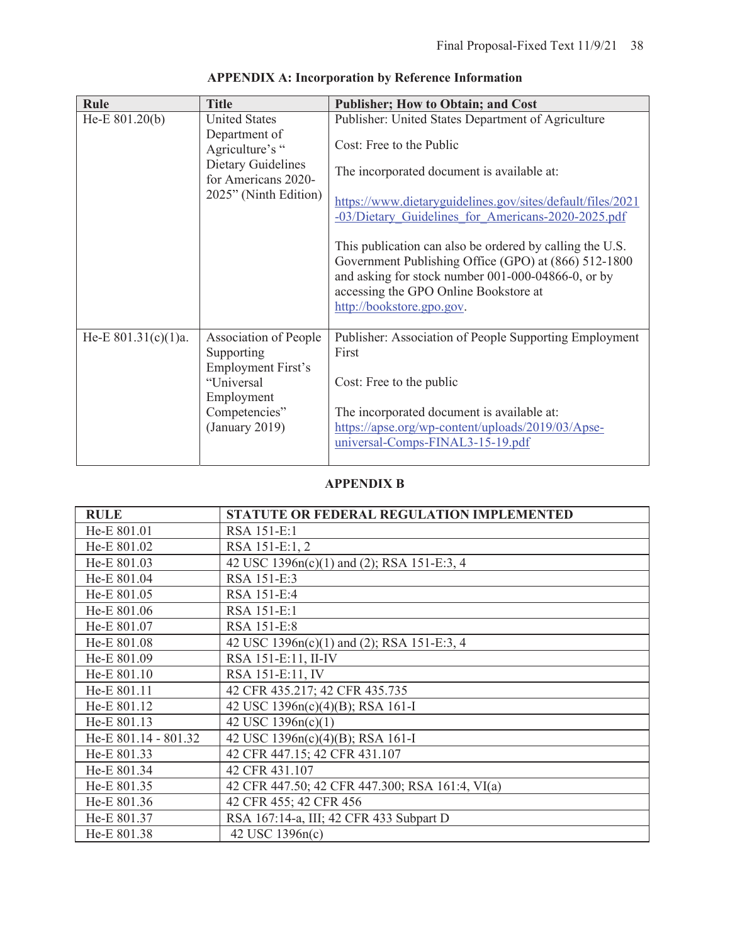| Rule                   | <b>Title</b>                                     | <b>Publisher; How to Obtain; and Cost</b>                                                                                                                                                                                                    |
|------------------------|--------------------------------------------------|----------------------------------------------------------------------------------------------------------------------------------------------------------------------------------------------------------------------------------------------|
| He-E $801.20(b)$       | <b>United States</b><br>Department of            | Publisher: United States Department of Agriculture                                                                                                                                                                                           |
|                        | Agriculture's "                                  | Cost: Free to the Public                                                                                                                                                                                                                     |
|                        | <b>Dietary Guidelines</b><br>for Americans 2020- | The incorporated document is available at:                                                                                                                                                                                                   |
|                        | 2025" (Ninth Edition)                            | https://www.dietaryguidelines.gov/sites/default/files/2021<br>-03/Dietary Guidelines for Americans-2020-2025.pdf                                                                                                                             |
|                        |                                                  | This publication can also be ordered by calling the U.S.<br>Government Publishing Office (GPO) at (866) 512-1800<br>and asking for stock number 001-000-04866-0, or by<br>accessing the GPO Online Bookstore at<br>http://bookstore.gpo.gov. |
| He-E $801.31(c)(1)a$ . | Association of People                            | Publisher: Association of People Supporting Employment                                                                                                                                                                                       |
|                        | Supporting<br>Employment First's                 | First                                                                                                                                                                                                                                        |
|                        | "Universal                                       | Cost: Free to the public                                                                                                                                                                                                                     |
|                        | Employment<br>Competencies"                      | The incorporated document is available at:                                                                                                                                                                                                   |
|                        | (January 2019)                                   | https://apse.org/wp-content/uploads/2019/03/Apse-                                                                                                                                                                                            |
|                        |                                                  | universal-Comps-FINAL3-15-19.pdf                                                                                                                                                                                                             |

# **APPENDIX A: Incorporation by Reference Information**

# **APPENDIX B**

| <b>RULE</b>          | STATUTE OR FEDERAL REGULATION IMPLEMENTED       |
|----------------------|-------------------------------------------------|
| He-E 801.01          | RSA 151-E:1                                     |
| He-E 801.02          | RSA 151-E:1, 2                                  |
| He-E 801.03          | 42 USC 1396n(c)(1) and (2); RSA 151-E:3, 4      |
| He-E 801.04          | RSA 151-E:3                                     |
| He-E 801.05          | RSA 151-E:4                                     |
| He-E 801.06          | RSA 151-E:1                                     |
| He-E 801.07          | RSA 151-E:8                                     |
| He-E 801.08          | 42 USC 1396n(c)(1) and (2); RSA 151-E:3, 4      |
| He-E 801.09          | RSA 151-E:11, II-IV                             |
| He-E 801.10          | RSA 151-E:11, IV                                |
| He-E 801.11          | 42 CFR 435.217; 42 CFR 435.735                  |
| He-E 801.12          | 42 USC 1396n(c)(4)(B); RSA 161-I                |
| He-E 801.13          | 42 USC 1396n(c)(1)                              |
| He-E 801.14 - 801.32 | 42 USC 1396n(c)(4)(B); RSA 161-I                |
| He-E 801.33          | 42 CFR 447.15; 42 CFR 431.107                   |
| He-E 801.34          | 42 CFR 431.107                                  |
| He-E 801.35          | 42 CFR 447.50; 42 CFR 447.300; RSA 161:4, VI(a) |
| He-E 801.36          | 42 CFR 455; 42 CFR 456                          |
| He-E 801.37          | RSA 167:14-a, III; 42 CFR 433 Subpart D         |
| He-E 801.38          | 42 USC 1396n(c)                                 |